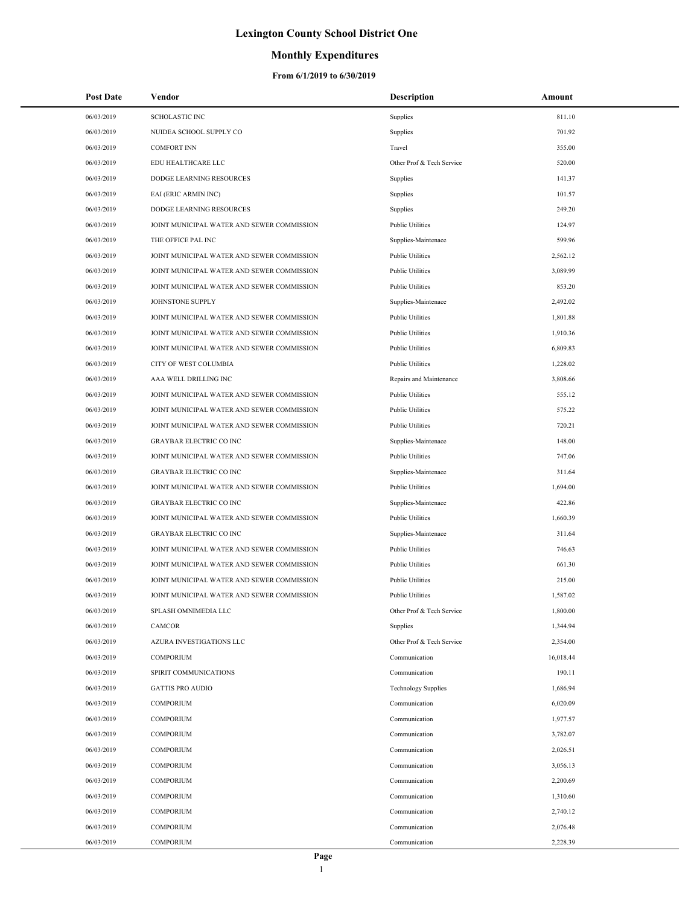### **Monthly Expenditures**

| <b>Post Date</b> | Vendor                                     | <b>Description</b>         | Amount    |
|------------------|--------------------------------------------|----------------------------|-----------|
| 06/03/2019       | SCHOLASTIC INC                             | Supplies                   | 811.10    |
| 06/03/2019       | NUIDEA SCHOOL SUPPLY CO                    | Supplies                   | 701.92    |
| 06/03/2019       | <b>COMFORT INN</b>                         | Travel                     | 355.00    |
| 06/03/2019       | EDU HEALTHCARE LLC                         | Other Prof & Tech Service  | 520.00    |
| 06/03/2019       | DODGE LEARNING RESOURCES                   | Supplies                   | 141.37    |
| 06/03/2019       | EAI (ERIC ARMIN INC)                       | Supplies                   | 101.57    |
| 06/03/2019       | DODGE LEARNING RESOURCES                   | Supplies                   | 249.20    |
| 06/03/2019       | JOINT MUNICIPAL WATER AND SEWER COMMISSION | <b>Public Utilities</b>    | 124.97    |
| 06/03/2019       | THE OFFICE PAL INC                         | Supplies-Maintenace        | 599.96    |
| 06/03/2019       | JOINT MUNICIPAL WATER AND SEWER COMMISSION | <b>Public Utilities</b>    | 2,562.12  |
| 06/03/2019       | JOINT MUNICIPAL WATER AND SEWER COMMISSION | <b>Public Utilities</b>    | 3,089.99  |
| 06/03/2019       | JOINT MUNICIPAL WATER AND SEWER COMMISSION | <b>Public Utilities</b>    | 853.20    |
| 06/03/2019       | JOHNSTONE SUPPLY                           | Supplies-Maintenace        | 2,492.02  |
| 06/03/2019       | JOINT MUNICIPAL WATER AND SEWER COMMISSION | <b>Public Utilities</b>    | 1,801.88  |
| 06/03/2019       | JOINT MUNICIPAL WATER AND SEWER COMMISSION | <b>Public Utilities</b>    | 1,910.36  |
| 06/03/2019       | JOINT MUNICIPAL WATER AND SEWER COMMISSION | <b>Public Utilities</b>    | 6,809.83  |
| 06/03/2019       | CITY OF WEST COLUMBIA                      | <b>Public Utilities</b>    | 1,228.02  |
| 06/03/2019       | AAA WELL DRILLING INC                      | Repairs and Maintenance    | 3,808.66  |
| 06/03/2019       | JOINT MUNICIPAL WATER AND SEWER COMMISSION | <b>Public Utilities</b>    | 555.12    |
| 06/03/2019       | JOINT MUNICIPAL WATER AND SEWER COMMISSION | <b>Public Utilities</b>    | 575.22    |
| 06/03/2019       | JOINT MUNICIPAL WATER AND SEWER COMMISSION | <b>Public Utilities</b>    | 720.21    |
| 06/03/2019       | <b>GRAYBAR ELECTRIC CO INC</b>             | Supplies-Maintenace        | 148.00    |
| 06/03/2019       | JOINT MUNICIPAL WATER AND SEWER COMMISSION | <b>Public Utilities</b>    | 747.06    |
| 06/03/2019       | <b>GRAYBAR ELECTRIC CO INC</b>             | Supplies-Maintenace        | 311.64    |
| 06/03/2019       | JOINT MUNICIPAL WATER AND SEWER COMMISSION | <b>Public Utilities</b>    | 1,694.00  |
| 06/03/2019       | <b>GRAYBAR ELECTRIC CO INC</b>             | Supplies-Maintenace        | 422.86    |
| 06/03/2019       | JOINT MUNICIPAL WATER AND SEWER COMMISSION | <b>Public Utilities</b>    | 1,660.39  |
| 06/03/2019       | <b>GRAYBAR ELECTRIC CO INC</b>             | Supplies-Maintenace        | 311.64    |
| 06/03/2019       | JOINT MUNICIPAL WATER AND SEWER COMMISSION | <b>Public Utilities</b>    | 746.63    |
| 06/03/2019       | JOINT MUNICIPAL WATER AND SEWER COMMISSION | <b>Public Utilities</b>    | 661.30    |
| 06/03/2019       | JOINT MUNICIPAL WATER AND SEWER COMMISSION | <b>Public Utilities</b>    | 215.00    |
| 06/03/2019       | JOINT MUNICIPAL WATER AND SEWER COMMISSION | <b>Public Utilities</b>    | 1,587.02  |
| 06/03/2019       | SPLASH OMNIMEDIA LLC                       | Other Prof & Tech Service  | 1,800.00  |
| 06/03/2019       | <b>CAMCOR</b>                              | Supplies                   | 1,344.94  |
| 06/03/2019       | AZURA INVESTIGATIONS LLC                   | Other Prof & Tech Service  | 2,354.00  |
| 06/03/2019       | <b>COMPORIUM</b>                           | Communication              | 16,018.44 |
| 06/03/2019       | SPIRIT COMMUNICATIONS                      | Communication              | 190.11    |
| 06/03/2019       | <b>GATTIS PRO AUDIO</b>                    | <b>Technology Supplies</b> | 1,686.94  |
| 06/03/2019       | <b>COMPORIUM</b>                           | Communication              | 6,020.09  |
| 06/03/2019       | <b>COMPORIUM</b>                           | Communication              | 1,977.57  |
| 06/03/2019       | <b>COMPORIUM</b>                           | Communication              | 3,782.07  |
| 06/03/2019       | <b>COMPORIUM</b>                           | Communication              | 2,026.51  |
| 06/03/2019       | COMPORIUM                                  | Communication              | 3,056.13  |
| 06/03/2019       | <b>COMPORIUM</b>                           | Communication              | 2,200.69  |
| 06/03/2019       | COMPORIUM                                  | Communication              | 1,310.60  |
| 06/03/2019       | COMPORIUM                                  | Communication              | 2,740.12  |
| 06/03/2019       | COMPORIUM                                  | Communication              | 2,076.48  |
| 06/03/2019       | <b>COMPORIUM</b>                           | Communication              | 2,228.39  |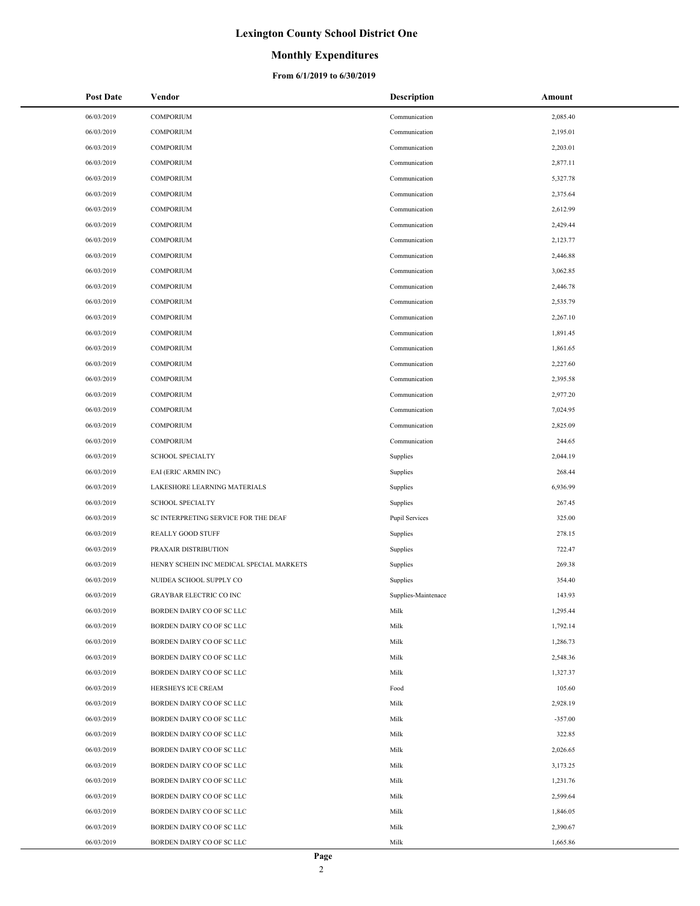### **Monthly Expenditures**

| <b>Post Date</b> | Vendor                                   | Description         | Amount    |
|------------------|------------------------------------------|---------------------|-----------|
| 06/03/2019       | COMPORIUM                                | Communication       | 2,085.40  |
| 06/03/2019       | <b>COMPORIUM</b>                         | Communication       | 2,195.01  |
| 06/03/2019       | <b>COMPORIUM</b>                         | Communication       | 2,203.01  |
| 06/03/2019       | <b>COMPORIUM</b>                         | Communication       | 2,877.11  |
| 06/03/2019       | <b>COMPORIUM</b>                         | Communication       | 5,327.78  |
| 06/03/2019       | <b>COMPORIUM</b>                         | Communication       | 2,375.64  |
| 06/03/2019       | <b>COMPORIUM</b>                         | Communication       | 2,612.99  |
| 06/03/2019       | <b>COMPORIUM</b>                         | Communication       | 2,429.44  |
| 06/03/2019       | <b>COMPORIUM</b>                         | Communication       | 2,123.77  |
| 06/03/2019       | <b>COMPORIUM</b>                         | Communication       | 2,446.88  |
| 06/03/2019       | <b>COMPORIUM</b>                         | Communication       | 3,062.85  |
| 06/03/2019       | <b>COMPORIUM</b>                         | Communication       | 2,446.78  |
| 06/03/2019       | <b>COMPORIUM</b>                         | Communication       | 2,535.79  |
| 06/03/2019       | <b>COMPORIUM</b>                         | Communication       | 2,267.10  |
| 06/03/2019       | <b>COMPORIUM</b>                         | Communication       | 1,891.45  |
| 06/03/2019       | <b>COMPORIUM</b>                         | Communication       | 1,861.65  |
| 06/03/2019       | <b>COMPORIUM</b>                         | Communication       | 2,227.60  |
| 06/03/2019       | <b>COMPORIUM</b>                         | Communication       | 2,395.58  |
| 06/03/2019       | <b>COMPORIUM</b>                         | Communication       | 2,977.20  |
| 06/03/2019       | <b>COMPORIUM</b>                         | Communication       | 7,024.95  |
| 06/03/2019       | <b>COMPORIUM</b>                         | Communication       | 2,825.09  |
| 06/03/2019       | <b>COMPORIUM</b>                         | Communication       | 244.65    |
| 06/03/2019       | <b>SCHOOL SPECIALTY</b>                  | Supplies            | 2,044.19  |
| 06/03/2019       | EAI (ERIC ARMIN INC)                     | Supplies            | 268.44    |
| 06/03/2019       | LAKESHORE LEARNING MATERIALS             | Supplies            | 6,936.99  |
| 06/03/2019       | <b>SCHOOL SPECIALTY</b>                  | Supplies            | 267.45    |
| 06/03/2019       | SC INTERPRETING SERVICE FOR THE DEAF     | Pupil Services      | 325.00    |
| 06/03/2019       | <b>REALLY GOOD STUFF</b>                 | Supplies            | 278.15    |
| 06/03/2019       | PRAXAIR DISTRIBUTION                     | Supplies            | 722.47    |
| 06/03/2019       | HENRY SCHEIN INC MEDICAL SPECIAL MARKETS | Supplies            | 269.38    |
| 06/03/2019       | NUIDEA SCHOOL SUPPLY CO                  | Supplies            | 354.40    |
| 06/03/2019       | GRAYBAR ELECTRIC CO INC                  | Supplies-Maintenace | 143.93    |
| 06/03/2019       | BORDEN DAIRY CO OF SC LLC                | Milk                | 1,295.44  |
| 06/03/2019       | BORDEN DAIRY CO OF SC LLC                | Milk                | 1,792.14  |
| 06/03/2019       | BORDEN DAIRY CO OF SC LLC                | Milk                | 1,286.73  |
| 06/03/2019       | BORDEN DAIRY CO OF SC LLC                | Milk                | 2,548.36  |
| 06/03/2019       | BORDEN DAIRY CO OF SC LLC                | Milk                | 1,327.37  |
| 06/03/2019       | HERSHEYS ICE CREAM                       | Food                | 105.60    |
| 06/03/2019       | BORDEN DAIRY CO OF SC LLC                | Milk                | 2,928.19  |
| 06/03/2019       | BORDEN DAIRY CO OF SC LLC                | Milk                | $-357.00$ |
| 06/03/2019       | BORDEN DAIRY CO OF SC LLC                | Milk                | 322.85    |
| 06/03/2019       | BORDEN DAIRY CO OF SC LLC                | Milk                | 2,026.65  |
| 06/03/2019       | BORDEN DAIRY CO OF SC LLC                | Milk                | 3,173.25  |
| 06/03/2019       | BORDEN DAIRY CO OF SC LLC                | Milk                | 1,231.76  |
| 06/03/2019       | BORDEN DAIRY CO OF SC LLC                | Milk                | 2,599.64  |
| 06/03/2019       | BORDEN DAIRY CO OF SC LLC                | Milk                | 1,846.05  |
| 06/03/2019       | BORDEN DAIRY CO OF SC LLC                | Milk                | 2,390.67  |
| 06/03/2019       | BORDEN DAIRY CO OF SC LLC                | Milk                | 1,665.86  |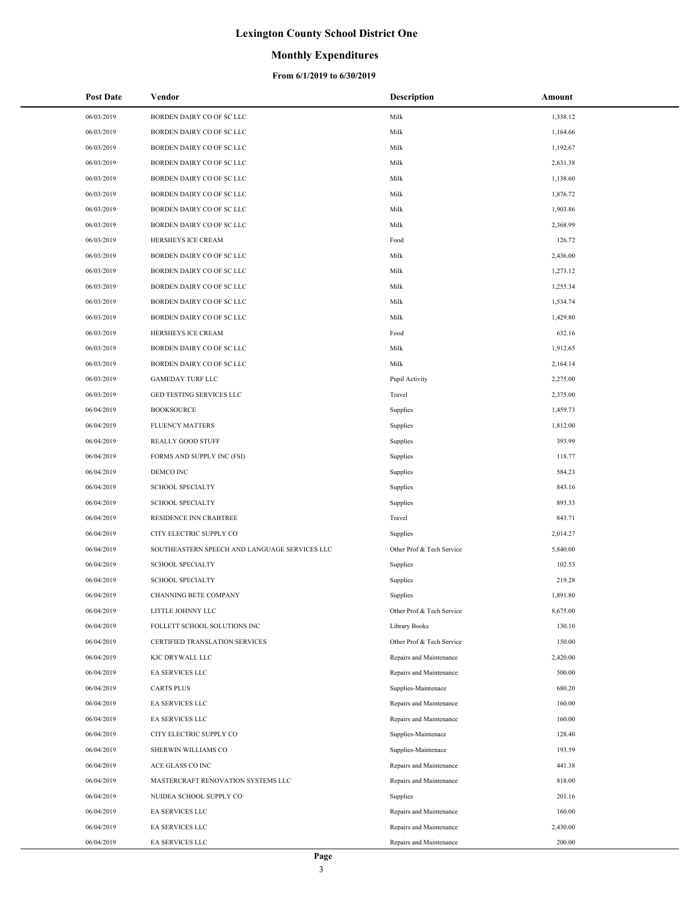### **Monthly Expenditures**

| <b>Post Date</b> | Vendor                                        | <b>Description</b>        | Amount   |
|------------------|-----------------------------------------------|---------------------------|----------|
| 06/03/2019       | BORDEN DAIRY CO OF SC LLC                     | Milk                      | 1,338.12 |
| 06/03/2019       | BORDEN DAIRY CO OF SC LLC                     | Milk                      | 1,164.66 |
| 06/03/2019       | BORDEN DAIRY CO OF SC LLC                     | Milk                      | 1,192.67 |
| 06/03/2019       | BORDEN DAIRY CO OF SC LLC                     | Milk                      | 2,631.38 |
| 06/03/2019       | BORDEN DAIRY CO OF SC LLC                     | Milk                      | 1,138.60 |
| 06/03/2019       | BORDEN DAIRY CO OF SC LLC                     | Milk                      | 1,876.72 |
| 06/03/2019       | BORDEN DAIRY CO OF SC LLC                     | Milk                      | 1,903.86 |
| 06/03/2019       | BORDEN DAIRY CO OF SC LLC                     | Milk                      | 2,368.99 |
| 06/03/2019       | HERSHEYS ICE CREAM                            | Food                      | 126.72   |
| 06/03/2019       | BORDEN DAIRY CO OF SC LLC                     | Milk                      | 2,436.00 |
| 06/03/2019       | BORDEN DAIRY CO OF SC LLC                     | Milk                      | 1,273.12 |
| 06/03/2019       | BORDEN DAIRY CO OF SC LLC                     | Milk                      | 1,255.34 |
| 06/03/2019       | BORDEN DAIRY CO OF SC LLC                     | Milk                      | 1,534.74 |
| 06/03/2019       | BORDEN DAIRY CO OF SC LLC                     | Milk                      | 1,429.80 |
| 06/03/2019       | HERSHEYS ICE CREAM                            | Food                      | 632.16   |
| 06/03/2019       | BORDEN DAIRY CO OF SC LLC                     | Milk                      | 1,912.65 |
| 06/03/2019       | BORDEN DAIRY CO OF SC LLC                     | Milk                      | 2,164.14 |
| 06/03/2019       | <b>GAMEDAY TURF LLC</b>                       | Pupil Activity            | 2,275.00 |
| 06/03/2019       | GED TESTING SERVICES LLC                      | Travel                    | 2,375.00 |
| 06/04/2019       | <b>BOOKSOURCE</b>                             | Supplies                  | 1,459.73 |
| 06/04/2019       | <b>FLUENCY MATTERS</b>                        | Supplies                  | 1,812.00 |
| 06/04/2019       | <b>REALLY GOOD STUFF</b>                      | Supplies                  | 393.99   |
| 06/04/2019       | FORMS AND SUPPLY INC (FSI)                    | Supplies                  | 118.77   |
| 06/04/2019       | DEMCO INC                                     | Supplies                  | 584.23   |
| 06/04/2019       | <b>SCHOOL SPECIALTY</b>                       | Supplies                  | 843.16   |
| 06/04/2019       | <b>SCHOOL SPECIALTY</b>                       | Supplies                  | 893.33   |
| 06/04/2019       | RESIDENCE INN CRABTREE                        | Travel                    | 843.71   |
| 06/04/2019       | CITY ELECTRIC SUPPLY CO                       | Supplies                  | 2,014.27 |
| 06/04/2019       | SOUTHEASTERN SPEECH AND LANGUAGE SERVICES LLC | Other Prof & Tech Service | 5,840.00 |
| 06/04/2019       | <b>SCHOOL SPECIALTY</b>                       | Supplies                  | 102.53   |
| 06/04/2019       | <b>SCHOOL SPECIALTY</b>                       | Supplies                  | 219.28   |
| 06/04/2019       | CHANNING BETE COMPANY                         | Supplies                  | 1,891.80 |
| 06/04/2019       | LITTLE JOHNNY LLC                             | Other Prof & Tech Service | 8,675.00 |
| 06/04/2019       | FOLLETT SCHOOL SOLUTIONS INC                  | Library Books             | 130.10   |
| 06/04/2019       | CERTIFIED TRANSLATION SERVICES                | Other Prof & Tech Service | 150.00   |
| 06/04/2019       | KJC DRYWALL LLC                               | Repairs and Maintenance   | 2,420.00 |
| 06/04/2019       | <b>EA SERVICES LLC</b>                        | Repairs and Maintenance   | 500.00   |
| 06/04/2019       | <b>CARTS PLUS</b>                             | Supplies-Maintenace       | 680.20   |
| 06/04/2019       | EA SERVICES LLC                               | Repairs and Maintenance   | 160.00   |
| 06/04/2019       | EA SERVICES LLC                               | Repairs and Maintenance   | 160.00   |
| 06/04/2019       | CITY ELECTRIC SUPPLY CO                       | Supplies-Maintenace       | 128.40   |
| 06/04/2019       | SHERWIN WILLIAMS CO                           | Supplies-Maintenace       | 193.59   |
| 06/04/2019       | ACE GLASS CO INC                              | Repairs and Maintenance   | 441.38   |
| 06/04/2019       | MASTERCRAFT RENOVATION SYSTEMS LLC            | Repairs and Maintenance   | 818.00   |
| 06/04/2019       | NUIDEA SCHOOL SUPPLY CO                       | Supplies                  | 201.16   |
| 06/04/2019       | EA SERVICES LLC                               | Repairs and Maintenance   | 160.00   |
| 06/04/2019       | EA SERVICES LLC                               | Repairs and Maintenance   | 2,430.00 |
| 06/04/2019       | EA SERVICES LLC                               | Repairs and Maintenance   | 200.00   |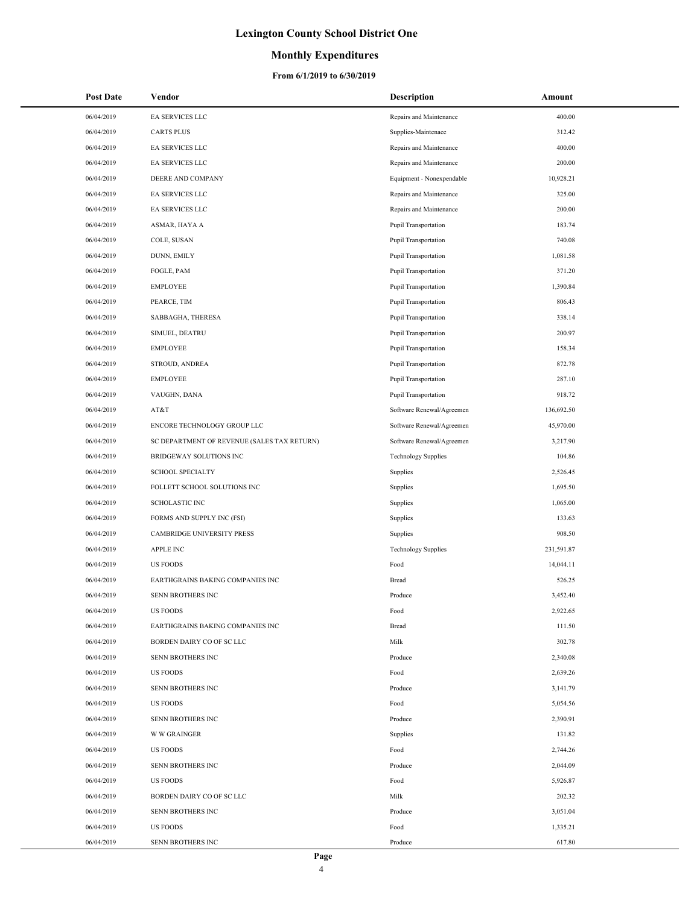### **Monthly Expenditures**

| <b>Post Date</b> | Vendor                                      | Description                 | Amount     |
|------------------|---------------------------------------------|-----------------------------|------------|
| 06/04/2019       | EA SERVICES LLC                             | Repairs and Maintenance     | 400.00     |
| 06/04/2019       | <b>CARTS PLUS</b>                           | Supplies-Maintenace         | 312.42     |
| 06/04/2019       | EA SERVICES LLC                             | Repairs and Maintenance     | 400.00     |
| 06/04/2019       | EA SERVICES LLC                             | Repairs and Maintenance     | 200.00     |
| 06/04/2019       | DEERE AND COMPANY                           | Equipment - Nonexpendable   | 10,928.21  |
| 06/04/2019       | EA SERVICES LLC                             | Repairs and Maintenance     | 325.00     |
| 06/04/2019       | EA SERVICES LLC                             | Repairs and Maintenance     | 200.00     |
| 06/04/2019       | ASMAR, HAYA A                               | Pupil Transportation        | 183.74     |
| 06/04/2019       | COLE, SUSAN                                 | Pupil Transportation        | 740.08     |
| 06/04/2019       | DUNN, EMILY                                 | <b>Pupil Transportation</b> | 1,081.58   |
| 06/04/2019       | FOGLE, PAM                                  | <b>Pupil Transportation</b> | 371.20     |
| 06/04/2019       | <b>EMPLOYEE</b>                             | Pupil Transportation        | 1,390.84   |
| 06/04/2019       | PEARCE, TIM                                 | Pupil Transportation        | 806.43     |
| 06/04/2019       | SABBAGHA, THERESA                           | Pupil Transportation        | 338.14     |
| 06/04/2019       | SIMUEL, DEATRU                              | Pupil Transportation        | 200.97     |
| 06/04/2019       | <b>EMPLOYEE</b>                             | Pupil Transportation        | 158.34     |
| 06/04/2019       | STROUD, ANDREA                              | Pupil Transportation        | 872.78     |
| 06/04/2019       | <b>EMPLOYEE</b>                             | Pupil Transportation        | 287.10     |
| 06/04/2019       | VAUGHN, DANA                                | <b>Pupil Transportation</b> | 918.72     |
| 06/04/2019       | AT&T                                        | Software Renewal/Agreemen   | 136,692.50 |
| 06/04/2019       | ENCORE TECHNOLOGY GROUP LLC                 | Software Renewal/Agreemen   | 45,970.00  |
| 06/04/2019       | SC DEPARTMENT OF REVENUE (SALES TAX RETURN) | Software Renewal/Agreemen   | 3,217.90   |
| 06/04/2019       | BRIDGEWAY SOLUTIONS INC                     | <b>Technology Supplies</b>  | 104.86     |
| 06/04/2019       | <b>SCHOOL SPECIALTY</b>                     | Supplies                    | 2,526.45   |
| 06/04/2019       | FOLLETT SCHOOL SOLUTIONS INC                | Supplies                    | 1,695.50   |
| 06/04/2019       | <b>SCHOLASTIC INC</b>                       | Supplies                    | 1,065.00   |
| 06/04/2019       | FORMS AND SUPPLY INC (FSI)                  | Supplies                    | 133.63     |
| 06/04/2019       | CAMBRIDGE UNIVERSITY PRESS                  | Supplies                    | 908.50     |
| 06/04/2019       | <b>APPLE INC</b>                            | <b>Technology Supplies</b>  | 231,591.87 |
| 06/04/2019       | <b>US FOODS</b>                             | Food                        | 14,044.11  |
| 06/04/2019       | EARTHGRAINS BAKING COMPANIES INC            | Bread                       | 526.25     |
| 06/04/2019       | SENN BROTHERS INC                           | Produce                     | 3,452.40   |
| 06/04/2019       | <b>US FOODS</b>                             | Food                        | 2,922.65   |
| 06/04/2019       | EARTHGRAINS BAKING COMPANIES INC            | Bread                       | 111.50     |
| 06/04/2019       | BORDEN DAIRY CO OF SC LLC                   | Milk                        | 302.78     |
| 06/04/2019       | SENN BROTHERS INC                           | Produce                     | 2,340.08   |
| 06/04/2019       | <b>US FOODS</b>                             | Food                        | 2,639.26   |
| 06/04/2019       | SENN BROTHERS INC                           | Produce                     | 3,141.79   |
| 06/04/2019       | <b>US FOODS</b>                             | Food                        | 5,054.56   |
| 06/04/2019       | SENN BROTHERS INC                           | Produce                     | 2,390.91   |
| 06/04/2019       | <b>W W GRAINGER</b>                         | Supplies                    | 131.82     |
| 06/04/2019       | <b>US FOODS</b>                             | Food                        | 2,744.26   |
| 06/04/2019       | SENN BROTHERS INC                           | Produce                     | 2,044.09   |
| 06/04/2019       | <b>US FOODS</b>                             | Food                        | 5,926.87   |
| 06/04/2019       | BORDEN DAIRY CO OF SC LLC                   | Milk                        | 202.32     |
| 06/04/2019       | SENN BROTHERS INC                           | Produce                     | 3,051.04   |
| 06/04/2019       | <b>US FOODS</b>                             | Food                        | 1,335.21   |
| 06/04/2019       | SENN BROTHERS INC                           | Produce                     | 617.80     |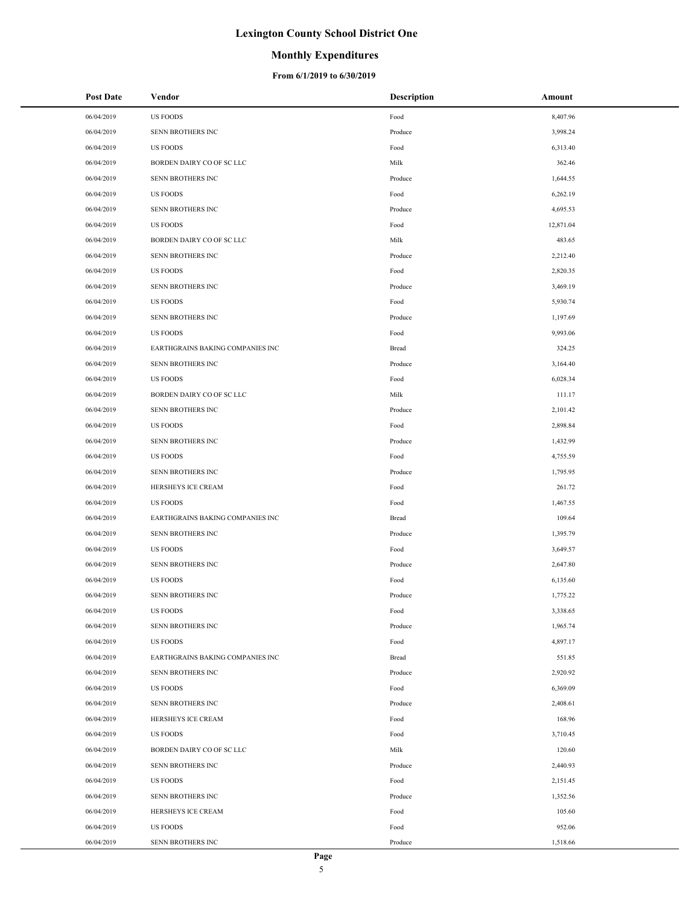### **Monthly Expenditures**

| <b>Post Date</b> | Vendor                           | <b>Description</b> | Amount    |
|------------------|----------------------------------|--------------------|-----------|
| 06/04/2019       | <b>US FOODS</b>                  | Food               | 8,407.96  |
| 06/04/2019       | SENN BROTHERS INC                | Produce            | 3,998.24  |
| 06/04/2019       | <b>US FOODS</b>                  | Food               | 6,313.40  |
| 06/04/2019       | BORDEN DAIRY CO OF SC LLC        | Milk               | 362.46    |
| 06/04/2019       | SENN BROTHERS INC                | Produce            | 1,644.55  |
| 06/04/2019       | <b>US FOODS</b>                  | Food               | 6,262.19  |
| 06/04/2019       | SENN BROTHERS INC                | Produce            | 4,695.53  |
| 06/04/2019       | US FOODS                         | Food               | 12,871.04 |
| 06/04/2019       | BORDEN DAIRY CO OF SC LLC        | Milk               | 483.65    |
| 06/04/2019       | SENN BROTHERS INC                | Produce            | 2,212.40  |
| 06/04/2019       | <b>US FOODS</b>                  | Food               | 2,820.35  |
| 06/04/2019       | SENN BROTHERS INC                | Produce            | 3,469.19  |
| 06/04/2019       | US FOODS                         | Food               | 5,930.74  |
| 06/04/2019       | SENN BROTHERS INC                | Produce            | 1,197.69  |
| 06/04/2019       | US FOODS                         | Food               | 9,993.06  |
| 06/04/2019       | EARTHGRAINS BAKING COMPANIES INC | Bread              | 324.25    |
| 06/04/2019       | SENN BROTHERS INC                | Produce            | 3,164.40  |
| 06/04/2019       | <b>US FOODS</b>                  | Food               | 6,028.34  |
| 06/04/2019       | BORDEN DAIRY CO OF SC LLC        | Milk               | 111.17    |
| 06/04/2019       | SENN BROTHERS INC                | Produce            | 2,101.42  |
| 06/04/2019       | US FOODS                         | Food               | 2,898.84  |
| 06/04/2019       | SENN BROTHERS INC                | Produce            | 1,432.99  |
| 06/04/2019       | US FOODS                         | Food               | 4,755.59  |
| 06/04/2019       | SENN BROTHERS INC                | Produce            | 1,795.95  |
| 06/04/2019       | HERSHEYS ICE CREAM               | Food               | 261.72    |
| 06/04/2019       | <b>US FOODS</b>                  | Food               | 1,467.55  |
| 06/04/2019       | EARTHGRAINS BAKING COMPANIES INC | Bread              | 109.64    |
| 06/04/2019       | SENN BROTHERS INC                | Produce            | 1,395.79  |
| 06/04/2019       | <b>US FOODS</b>                  | Food               | 3,649.57  |
| 06/04/2019       | SENN BROTHERS INC                | Produce            | 2,647.80  |
| 06/04/2019       | US FOODS                         | Food               | 6,135.60  |
| 06/04/2019       | SENN BROTHERS INC                | Produce            | 1,775.22  |
| 06/04/2019       | <b>US FOODS</b>                  | Food               | 3,338.65  |
| 06/04/2019       | SENN BROTHERS INC                | Produce            | 1,965.74  |
| 06/04/2019       | <b>US FOODS</b>                  | Food               | 4,897.17  |
| 06/04/2019       | EARTHGRAINS BAKING COMPANIES INC | Bread              | 551.85    |
| 06/04/2019       | SENN BROTHERS INC                | Produce            | 2,920.92  |
| 06/04/2019       | <b>US FOODS</b>                  | Food               | 6,369.09  |
| 06/04/2019       | SENN BROTHERS INC                | Produce            | 2,408.61  |
| 06/04/2019       | HERSHEYS ICE CREAM               | Food               | 168.96    |
| 06/04/2019       | US FOODS                         | Food               | 3,710.45  |
| 06/04/2019       | BORDEN DAIRY CO OF SC LLC        | Milk               | 120.60    |
| 06/04/2019       | SENN BROTHERS INC                | Produce            | 2,440.93  |
| 06/04/2019       | US FOODS                         | Food               | 2,151.45  |
| 06/04/2019       | SENN BROTHERS INC                | Produce            | 1,352.56  |
| 06/04/2019       | HERSHEYS ICE CREAM               | Food               | 105.60    |
| 06/04/2019       | <b>US FOODS</b>                  | Food               | 952.06    |
| 06/04/2019       | SENN BROTHERS INC                | Produce            | 1,518.66  |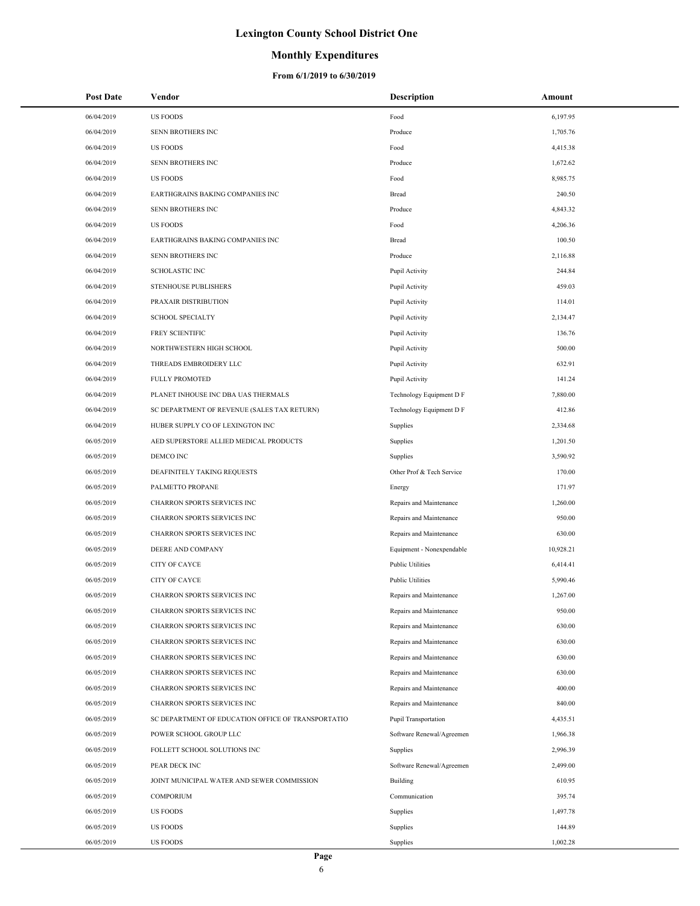### **Monthly Expenditures**

| <b>Post Date</b> | Vendor                                             | <b>Description</b>        | Amount    |
|------------------|----------------------------------------------------|---------------------------|-----------|
| 06/04/2019       | <b>US FOODS</b>                                    | Food                      | 6,197.95  |
| 06/04/2019       | SENN BROTHERS INC                                  | Produce                   | 1,705.76  |
| 06/04/2019       | <b>US FOODS</b>                                    | Food                      | 4,415.38  |
| 06/04/2019       | SENN BROTHERS INC                                  | Produce                   | 1,672.62  |
| 06/04/2019       | <b>US FOODS</b>                                    | Food                      | 8,985.75  |
| 06/04/2019       | EARTHGRAINS BAKING COMPANIES INC                   | Bread                     | 240.50    |
| 06/04/2019       | SENN BROTHERS INC                                  | Produce                   | 4,843.32  |
| 06/04/2019       | <b>US FOODS</b>                                    | Food                      | 4,206.36  |
| 06/04/2019       | EARTHGRAINS BAKING COMPANIES INC                   | Bread                     | 100.50    |
| 06/04/2019       | SENN BROTHERS INC                                  | Produce                   | 2,116.88  |
| 06/04/2019       | <b>SCHOLASTIC INC</b>                              | Pupil Activity            | 244.84    |
| 06/04/2019       | STENHOUSE PUBLISHERS                               | Pupil Activity            | 459.03    |
| 06/04/2019       | PRAXAIR DISTRIBUTION                               | Pupil Activity            | 114.01    |
| 06/04/2019       | <b>SCHOOL SPECIALTY</b>                            | Pupil Activity            | 2,134.47  |
| 06/04/2019       | FREY SCIENTIFIC                                    | Pupil Activity            | 136.76    |
| 06/04/2019       | NORTHWESTERN HIGH SCHOOL                           | Pupil Activity            | 500.00    |
| 06/04/2019       | THREADS EMBROIDERY LLC                             | Pupil Activity            | 632.91    |
| 06/04/2019       | <b>FULLY PROMOTED</b>                              | Pupil Activity            | 141.24    |
| 06/04/2019       | PLANET INHOUSE INC DBA UAS THERMALS                | Technology Equipment D F  | 7,880.00  |
| 06/04/2019       | SC DEPARTMENT OF REVENUE (SALES TAX RETURN)        | Technology Equipment D F  | 412.86    |
| 06/04/2019       | HUBER SUPPLY CO OF LEXINGTON INC                   | Supplies                  | 2,334.68  |
| 06/05/2019       | AED SUPERSTORE ALLIED MEDICAL PRODUCTS             | Supplies                  | 1,201.50  |
| 06/05/2019       | DEMCO INC                                          | Supplies                  | 3,590.92  |
| 06/05/2019       | DEAFINITELY TAKING REQUESTS                        | Other Prof & Tech Service | 170.00    |
| 06/05/2019       | PALMETTO PROPANE                                   | Energy                    | 171.97    |
| 06/05/2019       | CHARRON SPORTS SERVICES INC                        | Repairs and Maintenance   | 1,260.00  |
| 06/05/2019       | CHARRON SPORTS SERVICES INC                        | Repairs and Maintenance   | 950.00    |
| 06/05/2019       | CHARRON SPORTS SERVICES INC                        | Repairs and Maintenance   | 630.00    |
| 06/05/2019       | DEERE AND COMPANY                                  | Equipment - Nonexpendable | 10,928.21 |
| 06/05/2019       | CITY OF CAYCE                                      | <b>Public Utilities</b>   | 6,414.41  |
| 06/05/2019       | CITY OF CAYCE                                      | <b>Public Utilities</b>   | 5,990.46  |
| 06/05/2019       | CHARRON SPORTS SERVICES INC                        | Repairs and Maintenance   | 1,267.00  |
| 06/05/2019       | CHARRON SPORTS SERVICES INC                        | Repairs and Maintenance   | 950.00    |
| 06/05/2019       | CHARRON SPORTS SERVICES INC                        | Repairs and Maintenance   | 630.00    |
| 06/05/2019       | CHARRON SPORTS SERVICES INC                        | Repairs and Maintenance   | 630.00    |
| 06/05/2019       | CHARRON SPORTS SERVICES INC                        | Repairs and Maintenance   | 630.00    |
| 06/05/2019       | CHARRON SPORTS SERVICES INC                        | Repairs and Maintenance   | 630.00    |
| 06/05/2019       | CHARRON SPORTS SERVICES INC                        | Repairs and Maintenance   | 400.00    |
| 06/05/2019       | CHARRON SPORTS SERVICES INC                        | Repairs and Maintenance   | 840.00    |
| 06/05/2019       | SC DEPARTMENT OF EDUCATION OFFICE OF TRANSPORTATIO | Pupil Transportation      | 4,435.51  |
| 06/05/2019       | POWER SCHOOL GROUP LLC                             | Software Renewal/Agreemen | 1,966.38  |
| 06/05/2019       | FOLLETT SCHOOL SOLUTIONS INC                       | Supplies                  | 2,996.39  |
| 06/05/2019       | PEAR DECK INC                                      | Software Renewal/Agreemen | 2,499.00  |
| 06/05/2019       | JOINT MUNICIPAL WATER AND SEWER COMMISSION         | Building                  | 610.95    |
| 06/05/2019       | <b>COMPORIUM</b>                                   | Communication             | 395.74    |
| 06/05/2019       | <b>US FOODS</b>                                    | Supplies                  | 1,497.78  |
| 06/05/2019       | <b>US FOODS</b>                                    | Supplies                  | 144.89    |
| 06/05/2019       | <b>US FOODS</b>                                    | Supplies                  | 1,002.28  |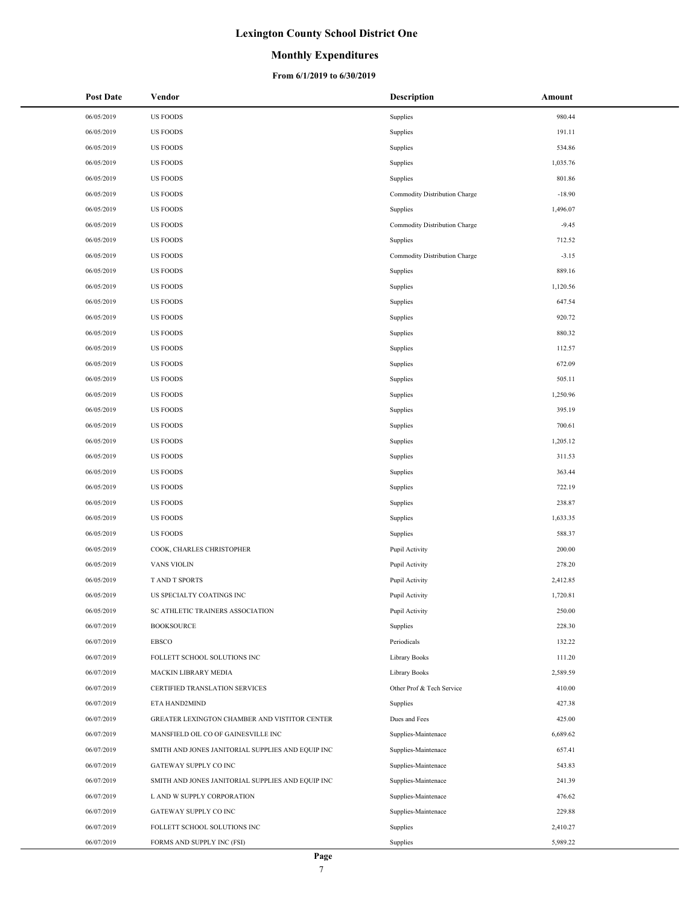### **Monthly Expenditures**

#### **From 6/1/2019 to 6/30/2019**

| <b>Post Date</b> | Vendor                                            | Description                   | Amount   |
|------------------|---------------------------------------------------|-------------------------------|----------|
| 06/05/2019       | <b>US FOODS</b>                                   | Supplies                      | 980.44   |
| 06/05/2019       | <b>US FOODS</b>                                   | Supplies                      | 191.11   |
| 06/05/2019       | <b>US FOODS</b>                                   | Supplies                      | 534.86   |
| 06/05/2019       | <b>US FOODS</b>                                   | Supplies                      | 1,035.76 |
| 06/05/2019       | <b>US FOODS</b>                                   | Supplies                      | 801.86   |
| 06/05/2019       | US FOODS                                          | Commodity Distribution Charge | $-18.90$ |
| 06/05/2019       | US FOODS                                          | Supplies                      | 1,496.07 |
| 06/05/2019       | <b>US FOODS</b>                                   | Commodity Distribution Charge | $-9.45$  |
| 06/05/2019       | US FOODS                                          | Supplies                      | 712.52   |
| 06/05/2019       | US FOODS                                          | Commodity Distribution Charge | $-3.15$  |
| 06/05/2019       | US FOODS                                          | Supplies                      | 889.16   |
| 06/05/2019       | <b>US FOODS</b>                                   | Supplies                      | 1,120.56 |
| 06/05/2019       | US FOODS                                          | Supplies                      | 647.54   |
| 06/05/2019       | US FOODS                                          | Supplies                      | 920.72   |
| 06/05/2019       | US FOODS                                          | Supplies                      | 880.32   |
| 06/05/2019       | US FOODS                                          | Supplies                      | 112.57   |
| 06/05/2019       | <b>US FOODS</b>                                   | Supplies                      | 672.09   |
| 06/05/2019       | US FOODS                                          | Supplies                      | 505.11   |
| 06/05/2019       | <b>US FOODS</b>                                   | Supplies                      | 1,250.96 |
| 06/05/2019       | US FOODS                                          | Supplies                      | 395.19   |
| 06/05/2019       | US FOODS                                          | Supplies                      | 700.61   |
| 06/05/2019       | US FOODS                                          | Supplies                      | 1,205.12 |
| 06/05/2019       | US FOODS                                          | Supplies                      | 311.53   |
| 06/05/2019       | US FOODS                                          | Supplies                      | 363.44   |
| 06/05/2019       | <b>US FOODS</b>                                   | Supplies                      | 722.19   |
| 06/05/2019       | <b>US FOODS</b>                                   | Supplies                      | 238.87   |
| 06/05/2019       | <b>US FOODS</b>                                   | Supplies                      | 1,633.35 |
| 06/05/2019       | <b>US FOODS</b>                                   | Supplies                      | 588.37   |
| 06/05/2019       | COOK, CHARLES CHRISTOPHER                         | Pupil Activity                | 200.00   |
| 06/05/2019       | <b>VANS VIOLIN</b>                                | Pupil Activity                | 278.20   |
| 06/05/2019       | T AND T SPORTS                                    | Pupil Activity                | 2,412.85 |
| 06/05/2019       | US SPECIALTY COATINGS INC                         | Pupil Activity                | 1,720.81 |
| 06/05/2019       | SC ATHLETIC TRAINERS ASSOCIATION                  | Pupil Activity                | 250.00   |
| 06/07/2019       | <b>BOOKSOURCE</b>                                 | Supplies                      | 228.30   |
| 06/07/2019       | EBSCO                                             | Periodicals                   | 132.22   |
| 06/07/2019       | FOLLETT SCHOOL SOLUTIONS INC                      | Library Books                 | 111.20   |
| 06/07/2019       | MACKIN LIBRARY MEDIA                              | Library Books                 | 2,589.59 |
| 06/07/2019       | CERTIFIED TRANSLATION SERVICES                    | Other Prof & Tech Service     | 410.00   |
| 06/07/2019       | ETA HAND2MIND                                     | Supplies                      | 427.38   |
| 06/07/2019       | GREATER LEXINGTON CHAMBER AND VISTITOR CENTER     | Dues and Fees                 | 425.00   |
| 06/07/2019       | MANSFIELD OIL CO OF GAINESVILLE INC               | Supplies-Maintenace           | 6,689.62 |
| 06/07/2019       | SMITH AND JONES JANITORIAL SUPPLIES AND EQUIP INC | Supplies-Maintenace           | 657.41   |
| 06/07/2019       | GATEWAY SUPPLY CO INC                             | Supplies-Maintenace           | 543.83   |
| 06/07/2019       | SMITH AND JONES JANITORIAL SUPPLIES AND EQUIP INC | Supplies-Maintenace           | 241.39   |
| 06/07/2019       | L AND W SUPPLY CORPORATION                        | Supplies-Maintenace           | 476.62   |
| 06/07/2019       | GATEWAY SUPPLY CO INC                             | Supplies-Maintenace           | 229.88   |
| 06/07/2019       | FOLLETT SCHOOL SOLUTIONS INC                      | Supplies                      | 2,410.27 |
| 06/07/2019       | FORMS AND SUPPLY INC (FSI)                        | Supplies                      | 5,989.22 |

 $\overline{\phantom{a}}$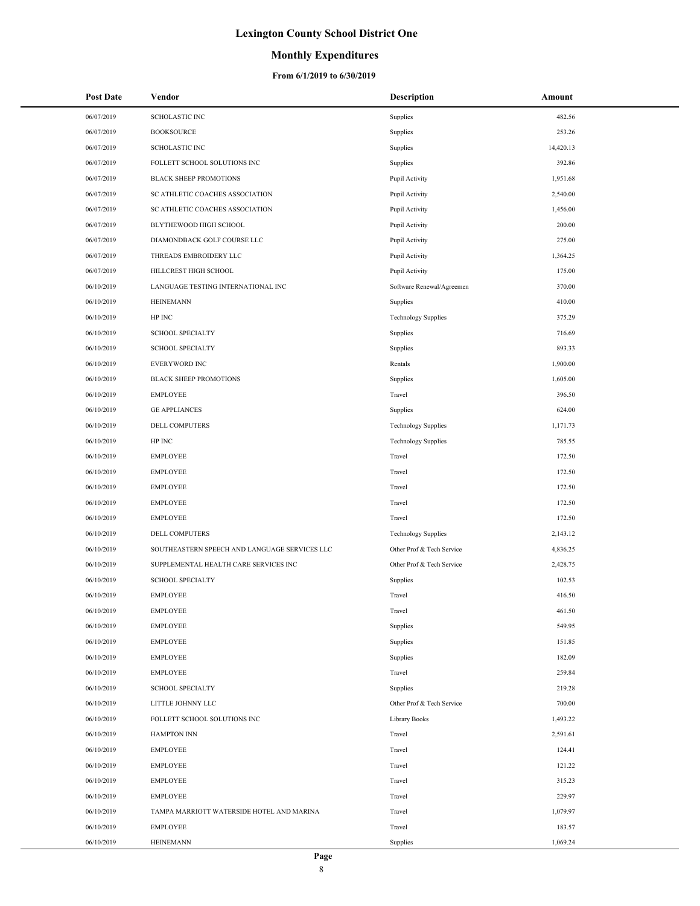## **Monthly Expenditures**

| <b>Post Date</b> | Vendor                                        | <b>Description</b>         | Amount    |
|------------------|-----------------------------------------------|----------------------------|-----------|
| 06/07/2019       | <b>SCHOLASTIC INC</b>                         | Supplies                   | 482.56    |
| 06/07/2019       | <b>BOOKSOURCE</b>                             | Supplies                   | 253.26    |
| 06/07/2019       | <b>SCHOLASTIC INC</b>                         | Supplies                   | 14,420.13 |
| 06/07/2019       | FOLLETT SCHOOL SOLUTIONS INC                  | Supplies                   | 392.86    |
| 06/07/2019       | BLACK SHEEP PROMOTIONS                        | Pupil Activity             | 1,951.68  |
| 06/07/2019       | SC ATHLETIC COACHES ASSOCIATION               | Pupil Activity             | 2,540.00  |
| 06/07/2019       | SC ATHLETIC COACHES ASSOCIATION               | Pupil Activity             | 1,456.00  |
| 06/07/2019       | BLYTHEWOOD HIGH SCHOOL                        | Pupil Activity             | 200.00    |
| 06/07/2019       | DIAMONDBACK GOLF COURSE LLC                   | Pupil Activity             | 275.00    |
| 06/07/2019       | THREADS EMBROIDERY LLC                        | Pupil Activity             | 1,364.25  |
| 06/07/2019       | HILLCREST HIGH SCHOOL                         | Pupil Activity             | 175.00    |
| 06/10/2019       | LANGUAGE TESTING INTERNATIONAL INC            | Software Renewal/Agreemen  | 370.00    |
| 06/10/2019       | <b>HEINEMANN</b>                              | Supplies                   | 410.00    |
| 06/10/2019       | HP INC                                        | <b>Technology Supplies</b> | 375.29    |
| 06/10/2019       | <b>SCHOOL SPECIALTY</b>                       | Supplies                   | 716.69    |
| 06/10/2019       | <b>SCHOOL SPECIALTY</b>                       | Supplies                   | 893.33    |
| 06/10/2019       | <b>EVERYWORD INC</b>                          | Rentals                    | 1,900.00  |
| 06/10/2019       | <b>BLACK SHEEP PROMOTIONS</b>                 | Supplies                   | 1,605.00  |
| 06/10/2019       | <b>EMPLOYEE</b>                               | Travel                     | 396.50    |
| 06/10/2019       | <b>GE APPLIANCES</b>                          | Supplies                   | 624.00    |
| 06/10/2019       | DELL COMPUTERS                                | <b>Technology Supplies</b> | 1,171.73  |
| 06/10/2019       | HP INC                                        | <b>Technology Supplies</b> | 785.55    |
| 06/10/2019       | <b>EMPLOYEE</b>                               | Travel                     | 172.50    |
| 06/10/2019       | <b>EMPLOYEE</b>                               | Travel                     | 172.50    |
| 06/10/2019       | <b>EMPLOYEE</b>                               | Travel                     | 172.50    |
| 06/10/2019       | <b>EMPLOYEE</b>                               | Travel                     | 172.50    |
| 06/10/2019       | <b>EMPLOYEE</b>                               | Travel                     | 172.50    |
| 06/10/2019       | DELL COMPUTERS                                | <b>Technology Supplies</b> | 2,143.12  |
| 06/10/2019       | SOUTHEASTERN SPEECH AND LANGUAGE SERVICES LLC | Other Prof & Tech Service  | 4,836.25  |
| 06/10/2019       | SUPPLEMENTAL HEALTH CARE SERVICES INC         | Other Prof & Tech Service  | 2,428.75  |
| 06/10/2019       | <b>SCHOOL SPECIALTY</b>                       | Supplies                   | 102.53    |
| 06/10/2019       | <b>EMPLOYEE</b>                               | Travel                     | 416.50    |
| 06/10/2019       | <b>EMPLOYEE</b>                               | Travel                     | 461.50    |
| 06/10/2019       | <b>EMPLOYEE</b>                               | Supplies                   | 549.95    |
| 06/10/2019       | <b>EMPLOYEE</b>                               | Supplies                   | 151.85    |
| 06/10/2019       | <b>EMPLOYEE</b>                               | Supplies                   | 182.09    |
| 06/10/2019       | EMPLOYEE                                      | Travel                     | 259.84    |
| 06/10/2019       | <b>SCHOOL SPECIALTY</b>                       | Supplies                   | 219.28    |
| 06/10/2019       | LITTLE JOHNNY LLC                             | Other Prof & Tech Service  | 700.00    |
| 06/10/2019       | FOLLETT SCHOOL SOLUTIONS INC                  | Library Books              | 1,493.22  |
| 06/10/2019       | <b>HAMPTON INN</b>                            | Travel                     | 2,591.61  |
| 06/10/2019       | <b>EMPLOYEE</b>                               | Travel                     | 124.41    |
| 06/10/2019       | <b>EMPLOYEE</b>                               | Travel                     | 121.22    |
| 06/10/2019       | <b>EMPLOYEE</b>                               | Travel                     | 315.23    |
| 06/10/2019       | <b>EMPLOYEE</b>                               | Travel                     | 229.97    |
| 06/10/2019       | TAMPA MARRIOTT WATERSIDE HOTEL AND MARINA     | Travel                     | 1,079.97  |
| 06/10/2019       | <b>EMPLOYEE</b>                               | Travel                     | 183.57    |
| 06/10/2019       | <b>HEINEMANN</b>                              | Supplies                   | 1,069.24  |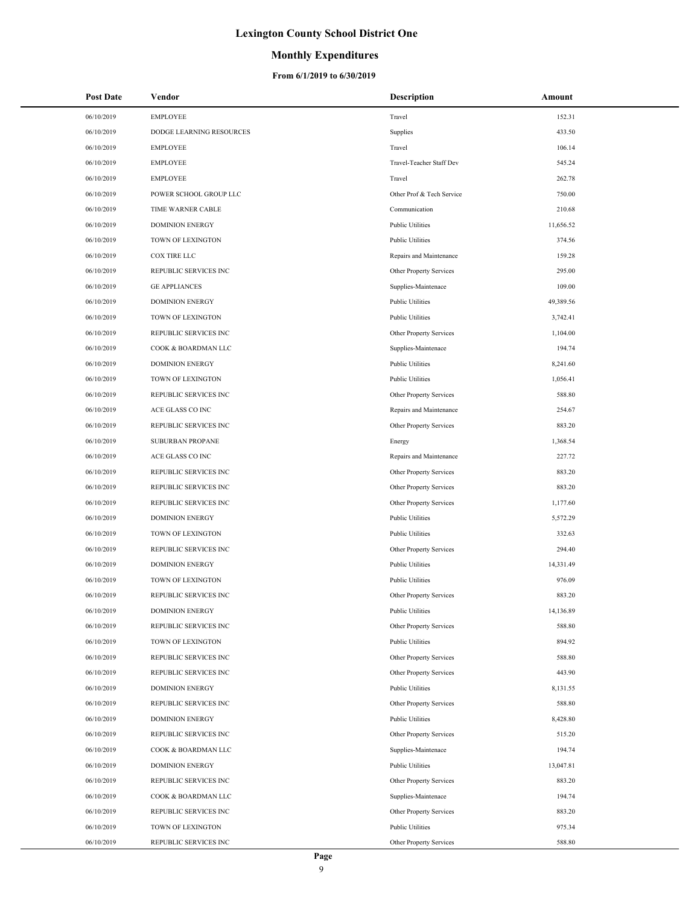### **Monthly Expenditures**

| <b>Post Date</b> | Vendor                   | <b>Description</b>        | Amount    |
|------------------|--------------------------|---------------------------|-----------|
| 06/10/2019       | <b>EMPLOYEE</b>          | Travel                    | 152.31    |
| 06/10/2019       | DODGE LEARNING RESOURCES | Supplies                  | 433.50    |
| 06/10/2019       | EMPLOYEE                 | Travel                    | 106.14    |
| 06/10/2019       | <b>EMPLOYEE</b>          | Travel-Teacher Staff Dev  | 545.24    |
| 06/10/2019       | <b>EMPLOYEE</b>          | Travel                    | 262.78    |
| 06/10/2019       | POWER SCHOOL GROUP LLC   | Other Prof & Tech Service | 750.00    |
| 06/10/2019       | TIME WARNER CABLE        | Communication             | 210.68    |
| 06/10/2019       | <b>DOMINION ENERGY</b>   | <b>Public Utilities</b>   | 11,656.52 |
| 06/10/2019       | TOWN OF LEXINGTON        | <b>Public Utilities</b>   | 374.56    |
| 06/10/2019       | COX TIRE LLC             | Repairs and Maintenance   | 159.28    |
| 06/10/2019       | REPUBLIC SERVICES INC    | Other Property Services   | 295.00    |
| 06/10/2019       | <b>GE APPLIANCES</b>     | Supplies-Maintenace       | 109.00    |
| 06/10/2019       | <b>DOMINION ENERGY</b>   | <b>Public Utilities</b>   | 49,389.56 |
| 06/10/2019       | TOWN OF LEXINGTON        | <b>Public Utilities</b>   | 3,742.41  |
| 06/10/2019       | REPUBLIC SERVICES INC    | Other Property Services   | 1,104.00  |
| 06/10/2019       | COOK & BOARDMAN LLC      | Supplies-Maintenace       | 194.74    |
| 06/10/2019       | <b>DOMINION ENERGY</b>   | <b>Public Utilities</b>   | 8,241.60  |
| 06/10/2019       | TOWN OF LEXINGTON        | <b>Public Utilities</b>   | 1,056.41  |
| 06/10/2019       | REPUBLIC SERVICES INC    | Other Property Services   | 588.80    |
| 06/10/2019       | ACE GLASS CO INC         | Repairs and Maintenance   | 254.67    |
| 06/10/2019       | REPUBLIC SERVICES INC    | Other Property Services   | 883.20    |
| 06/10/2019       | SUBURBAN PROPANE         | Energy                    | 1,368.54  |
| 06/10/2019       | ACE GLASS CO INC         | Repairs and Maintenance   | 227.72    |
| 06/10/2019       | REPUBLIC SERVICES INC    | Other Property Services   | 883.20    |
| 06/10/2019       | REPUBLIC SERVICES INC    | Other Property Services   | 883.20    |
| 06/10/2019       | REPUBLIC SERVICES INC    | Other Property Services   | 1,177.60  |
| 06/10/2019       | <b>DOMINION ENERGY</b>   | <b>Public Utilities</b>   | 5,572.29  |
| 06/10/2019       | TOWN OF LEXINGTON        | <b>Public Utilities</b>   | 332.63    |
| 06/10/2019       | REPUBLIC SERVICES INC    | Other Property Services   | 294.40    |
| 06/10/2019       | <b>DOMINION ENERGY</b>   | <b>Public Utilities</b>   | 14,331.49 |
| 06/10/2019       | TOWN OF LEXINGTON        | <b>Public Utilities</b>   | 976.09    |
| 06/10/2019       | REPUBLIC SERVICES INC    | Other Property Services   | 883.20    |
| 06/10/2019       | <b>DOMINION ENERGY</b>   | <b>Public Utilities</b>   | 14,136.89 |
| 06/10/2019       | REPUBLIC SERVICES INC    | Other Property Services   | 588.80    |
| 06/10/2019       | TOWN OF LEXINGTON        | <b>Public Utilities</b>   | 894.92    |
| 06/10/2019       | REPUBLIC SERVICES INC    | Other Property Services   | 588.80    |
| 06/10/2019       | REPUBLIC SERVICES INC    | Other Property Services   | 443.90    |
| 06/10/2019       | <b>DOMINION ENERGY</b>   | <b>Public Utilities</b>   | 8,131.55  |
| 06/10/2019       | REPUBLIC SERVICES INC    | Other Property Services   | 588.80    |
| 06/10/2019       | <b>DOMINION ENERGY</b>   | <b>Public Utilities</b>   | 8,428.80  |
| 06/10/2019       | REPUBLIC SERVICES INC    | Other Property Services   | 515.20    |
| 06/10/2019       | COOK & BOARDMAN LLC      | Supplies-Maintenace       | 194.74    |
| 06/10/2019       | <b>DOMINION ENERGY</b>   | <b>Public Utilities</b>   | 13,047.81 |
| 06/10/2019       | REPUBLIC SERVICES INC    | Other Property Services   | 883.20    |
| 06/10/2019       | COOK & BOARDMAN LLC      | Supplies-Maintenace       | 194.74    |
| 06/10/2019       | REPUBLIC SERVICES INC    | Other Property Services   | 883.20    |
| 06/10/2019       | TOWN OF LEXINGTON        | <b>Public Utilities</b>   | 975.34    |
| 06/10/2019       | REPUBLIC SERVICES INC    | Other Property Services   | 588.80    |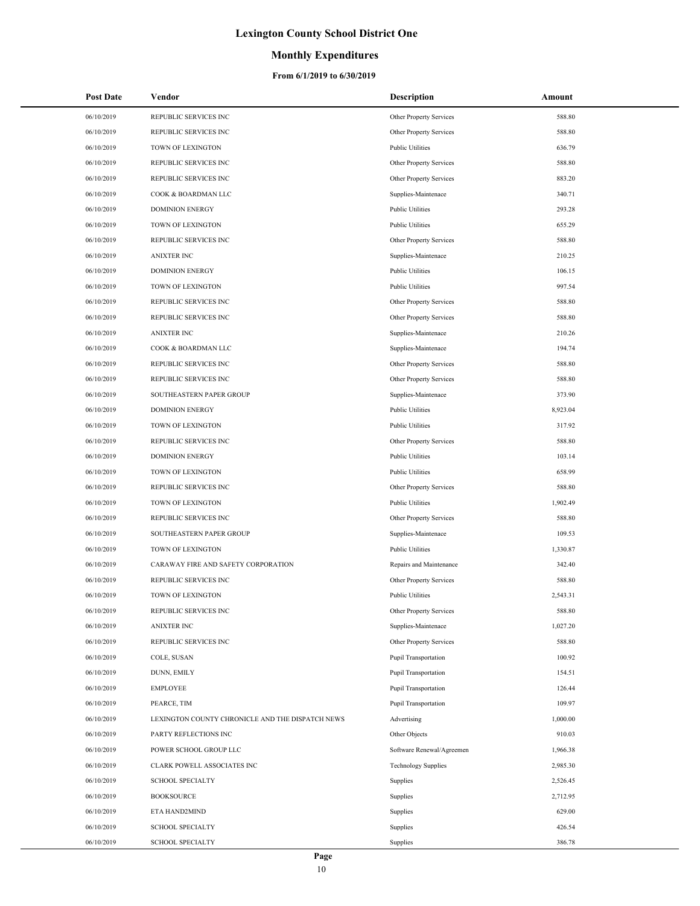### **Monthly Expenditures**

| <b>Post Date</b> | Vendor                                           | Description                | Amount   |
|------------------|--------------------------------------------------|----------------------------|----------|
| 06/10/2019       | REPUBLIC SERVICES INC                            | Other Property Services    | 588.80   |
| 06/10/2019       | REPUBLIC SERVICES INC                            | Other Property Services    | 588.80   |
| 06/10/2019       | TOWN OF LEXINGTON                                | <b>Public Utilities</b>    | 636.79   |
| 06/10/2019       | REPUBLIC SERVICES INC                            | Other Property Services    | 588.80   |
| 06/10/2019       | REPUBLIC SERVICES INC                            | Other Property Services    | 883.20   |
| 06/10/2019       | COOK & BOARDMAN LLC                              | Supplies-Maintenace        | 340.71   |
| 06/10/2019       | <b>DOMINION ENERGY</b>                           | <b>Public Utilities</b>    | 293.28   |
| 06/10/2019       | TOWN OF LEXINGTON                                | <b>Public Utilities</b>    | 655.29   |
| 06/10/2019       | REPUBLIC SERVICES INC                            | Other Property Services    | 588.80   |
| 06/10/2019       | <b>ANIXTER INC</b>                               | Supplies-Maintenace        | 210.25   |
| 06/10/2019       | <b>DOMINION ENERGY</b>                           | <b>Public Utilities</b>    | 106.15   |
| 06/10/2019       | TOWN OF LEXINGTON                                | <b>Public Utilities</b>    | 997.54   |
| 06/10/2019       | REPUBLIC SERVICES INC                            | Other Property Services    | 588.80   |
| 06/10/2019       | REPUBLIC SERVICES INC                            | Other Property Services    | 588.80   |
| 06/10/2019       | <b>ANIXTER INC</b>                               | Supplies-Maintenace        | 210.26   |
| 06/10/2019       | COOK & BOARDMAN LLC                              | Supplies-Maintenace        | 194.74   |
| 06/10/2019       | REPUBLIC SERVICES INC                            | Other Property Services    | 588.80   |
| 06/10/2019       | REPUBLIC SERVICES INC                            | Other Property Services    | 588.80   |
| 06/10/2019       | SOUTHEASTERN PAPER GROUP                         | Supplies-Maintenace        | 373.90   |
| 06/10/2019       | <b>DOMINION ENERGY</b>                           | <b>Public Utilities</b>    | 8,923.04 |
| 06/10/2019       | TOWN OF LEXINGTON                                | <b>Public Utilities</b>    | 317.92   |
| 06/10/2019       | REPUBLIC SERVICES INC                            | Other Property Services    | 588.80   |
| 06/10/2019       | <b>DOMINION ENERGY</b>                           | <b>Public Utilities</b>    | 103.14   |
| 06/10/2019       | TOWN OF LEXINGTON                                | <b>Public Utilities</b>    | 658.99   |
| 06/10/2019       | REPUBLIC SERVICES INC                            | Other Property Services    | 588.80   |
| 06/10/2019       | TOWN OF LEXINGTON                                | <b>Public Utilities</b>    | 1,902.49 |
| 06/10/2019       | REPUBLIC SERVICES INC                            | Other Property Services    | 588.80   |
| 06/10/2019       | SOUTHEASTERN PAPER GROUP                         | Supplies-Maintenace        | 109.53   |
| 06/10/2019       | TOWN OF LEXINGTON                                | <b>Public Utilities</b>    | 1,330.87 |
| 06/10/2019       | CARAWAY FIRE AND SAFETY CORPORATION              | Repairs and Maintenance    | 342.40   |
| 06/10/2019       | REPUBLIC SERVICES INC                            | Other Property Services    | 588.80   |
| 06/10/2019       | <b>TOWN OF LEXINGTON</b>                         | <b>Public Utilities</b>    | 2,543.31 |
| 06/10/2019       | REPUBLIC SERVICES INC                            | Other Property Services    | 588.80   |
| 06/10/2019       | <b>ANIXTER INC</b>                               | Supplies-Maintenace        | 1,027.20 |
| 06/10/2019       | REPUBLIC SERVICES INC                            | Other Property Services    | 588.80   |
| 06/10/2019       | COLE, SUSAN                                      | Pupil Transportation       | 100.92   |
| 06/10/2019       | DUNN, EMILY                                      | Pupil Transportation       | 154.51   |
| 06/10/2019       | <b>EMPLOYEE</b>                                  | Pupil Transportation       | 126.44   |
| 06/10/2019       | PEARCE, TIM                                      | Pupil Transportation       | 109.97   |
| 06/10/2019       | LEXINGTON COUNTY CHRONICLE AND THE DISPATCH NEWS | Advertising                | 1,000.00 |
| 06/10/2019       | PARTY REFLECTIONS INC                            | Other Objects              | 910.03   |
| 06/10/2019       | POWER SCHOOL GROUP LLC                           | Software Renewal/Agreemen  | 1,966.38 |
| 06/10/2019       | CLARK POWELL ASSOCIATES INC                      | <b>Technology Supplies</b> | 2,985.30 |
| 06/10/2019       | <b>SCHOOL SPECIALTY</b>                          | Supplies                   | 2,526.45 |
| 06/10/2019       | <b>BOOKSOURCE</b>                                | Supplies                   | 2,712.95 |
| 06/10/2019       | ETA HAND2MIND                                    | Supplies                   | 629.00   |
| 06/10/2019       | <b>SCHOOL SPECIALTY</b>                          | Supplies                   | 426.54   |
| 06/10/2019       | <b>SCHOOL SPECIALTY</b>                          | Supplies                   | 386.78   |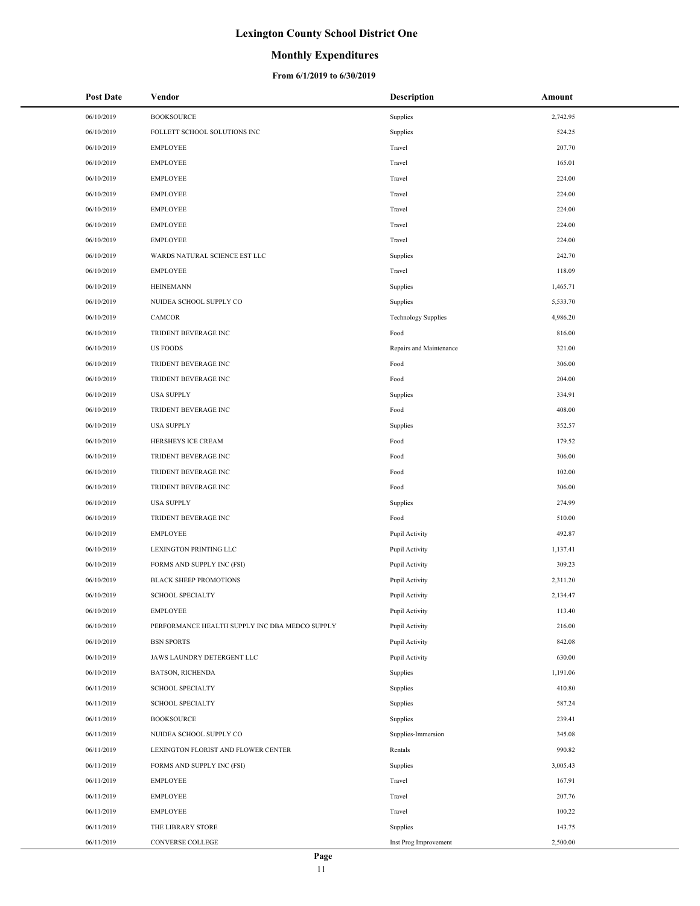### **Monthly Expenditures**

| <b>Post Date</b> | Vendor                                         | <b>Description</b>         | Amount   |
|------------------|------------------------------------------------|----------------------------|----------|
| 06/10/2019       | <b>BOOKSOURCE</b>                              | Supplies                   | 2,742.95 |
| 06/10/2019       | FOLLETT SCHOOL SOLUTIONS INC                   | Supplies                   | 524.25   |
| 06/10/2019       | EMPLOYEE                                       | Travel                     | 207.70   |
| 06/10/2019       | EMPLOYEE                                       | Travel                     | 165.01   |
| 06/10/2019       | EMPLOYEE                                       | Travel                     | 224.00   |
| 06/10/2019       | <b>EMPLOYEE</b>                                | Travel                     | 224.00   |
| 06/10/2019       | EMPLOYEE                                       | Travel                     | 224.00   |
| 06/10/2019       | <b>EMPLOYEE</b>                                | Travel                     | 224.00   |
| 06/10/2019       | <b>EMPLOYEE</b>                                | Travel                     | 224.00   |
| 06/10/2019       | WARDS NATURAL SCIENCE EST LLC                  | Supplies                   | 242.70   |
| 06/10/2019       | <b>EMPLOYEE</b>                                | Travel                     | 118.09   |
| 06/10/2019       | <b>HEINEMANN</b>                               | Supplies                   | 1,465.71 |
| 06/10/2019       | NUIDEA SCHOOL SUPPLY CO                        | Supplies                   | 5,533.70 |
| 06/10/2019       | <b>CAMCOR</b>                                  | <b>Technology Supplies</b> | 4,986.20 |
| 06/10/2019       | TRIDENT BEVERAGE INC                           | Food                       | 816.00   |
| 06/10/2019       | <b>US FOODS</b>                                | Repairs and Maintenance    | 321.00   |
| 06/10/2019       | TRIDENT BEVERAGE INC                           | Food                       | 306.00   |
| 06/10/2019       | TRIDENT BEVERAGE INC                           | Food                       | 204.00   |
| 06/10/2019       | <b>USA SUPPLY</b>                              | Supplies                   | 334.91   |
| 06/10/2019       | TRIDENT BEVERAGE INC                           | Food                       | 408.00   |
| 06/10/2019       | <b>USA SUPPLY</b>                              | Supplies                   | 352.57   |
| 06/10/2019       | HERSHEYS ICE CREAM                             | Food                       | 179.52   |
| 06/10/2019       | TRIDENT BEVERAGE INC                           | Food                       | 306.00   |
| 06/10/2019       | TRIDENT BEVERAGE INC                           | Food                       | 102.00   |
| 06/10/2019       | TRIDENT BEVERAGE INC                           | Food                       | 306.00   |
| 06/10/2019       | <b>USA SUPPLY</b>                              | Supplies                   | 274.99   |
| 06/10/2019       | TRIDENT BEVERAGE INC                           | Food                       | 510.00   |
| 06/10/2019       | <b>EMPLOYEE</b>                                | Pupil Activity             | 492.87   |
| 06/10/2019       | LEXINGTON PRINTING LLC                         | Pupil Activity             | 1,137.41 |
| 06/10/2019       | FORMS AND SUPPLY INC (FSI)                     | Pupil Activity             | 309.23   |
| 06/10/2019       | <b>BLACK SHEEP PROMOTIONS</b>                  | Pupil Activity             | 2,311.20 |
| 06/10/2019       | <b>SCHOOL SPECIALTY</b>                        | Pupil Activity             | 2,134.47 |
| 06/10/2019       | EMPLOYEE                                       | Pupil Activity             | 113.40   |
| 06/10/2019       | PERFORMANCE HEALTH SUPPLY INC DBA MEDCO SUPPLY | Pupil Activity             | 216.00   |
| 06/10/2019       | <b>BSN SPORTS</b>                              | Pupil Activity             | 842.08   |
| 06/10/2019       | JAWS LAUNDRY DETERGENT LLC                     | Pupil Activity             | 630.00   |
| 06/10/2019       | <b>BATSON, RICHENDA</b>                        | Supplies                   | 1,191.06 |
| 06/11/2019       | <b>SCHOOL SPECIALTY</b>                        | Supplies                   | 410.80   |
| 06/11/2019       | <b>SCHOOL SPECIALTY</b>                        | Supplies                   | 587.24   |
| 06/11/2019       | <b>BOOKSOURCE</b>                              | Supplies                   | 239.41   |
| 06/11/2019       | NUIDEA SCHOOL SUPPLY CO                        | Supplies-Immersion         | 345.08   |
| 06/11/2019       | LEXINGTON FLORIST AND FLOWER CENTER            | Rentals                    | 990.82   |
| 06/11/2019       | FORMS AND SUPPLY INC (FSI)                     | Supplies                   | 3,005.43 |
| 06/11/2019       | EMPLOYEE                                       | Travel                     | 167.91   |
| 06/11/2019       | EMPLOYEE                                       | Travel                     | 207.76   |
| 06/11/2019       | <b>EMPLOYEE</b>                                | Travel                     | 100.22   |
| 06/11/2019       | THE LIBRARY STORE                              | Supplies                   | 143.75   |
| 06/11/2019       | CONVERSE COLLEGE                               | Inst Prog Improvement      | 2,500.00 |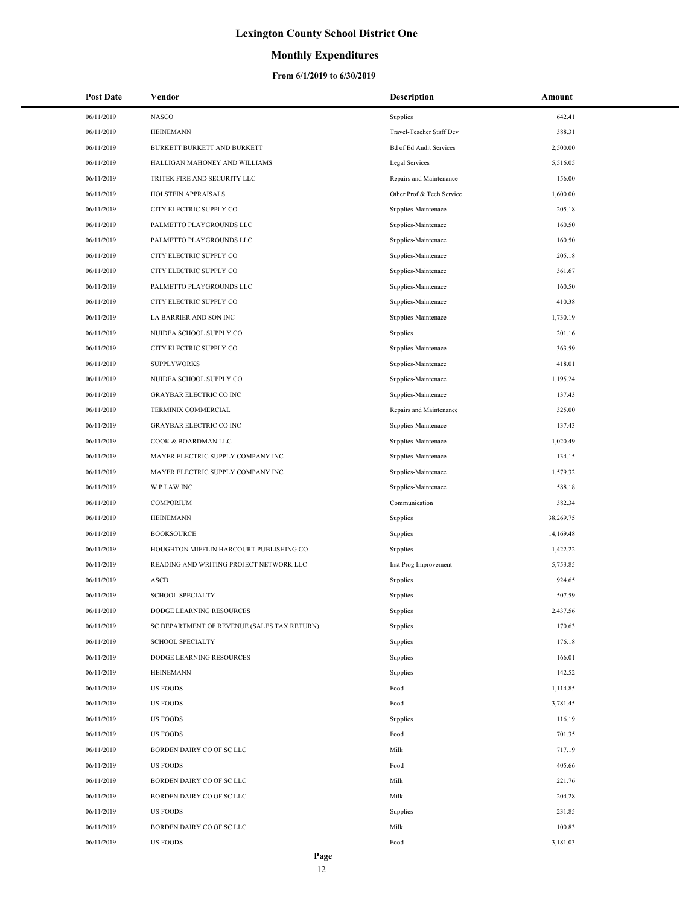### **Monthly Expenditures**

| <b>Post Date</b> | Vendor                                      | Description                    | Amount    |
|------------------|---------------------------------------------|--------------------------------|-----------|
| 06/11/2019       | <b>NASCO</b>                                | Supplies                       | 642.41    |
| 06/11/2019       | <b>HEINEMANN</b>                            | Travel-Teacher Staff Dev       | 388.31    |
| 06/11/2019       | BURKETT BURKETT AND BURKETT                 | <b>Bd of Ed Audit Services</b> | 2,500.00  |
| 06/11/2019       | HALLIGAN MAHONEY AND WILLIAMS               | Legal Services                 | 5,516.05  |
| 06/11/2019       | TRITEK FIRE AND SECURITY LLC                | Repairs and Maintenance        | 156.00    |
| 06/11/2019       | HOLSTEIN APPRAISALS                         | Other Prof & Tech Service      | 1,600.00  |
| 06/11/2019       | CITY ELECTRIC SUPPLY CO                     | Supplies-Maintenace            | 205.18    |
| 06/11/2019       | PALMETTO PLAYGROUNDS LLC                    | Supplies-Maintenace            | 160.50    |
| 06/11/2019       | PALMETTO PLAYGROUNDS LLC                    | Supplies-Maintenace            | 160.50    |
| 06/11/2019       | CITY ELECTRIC SUPPLY CO                     | Supplies-Maintenace            | 205.18    |
| 06/11/2019       | CITY ELECTRIC SUPPLY CO                     | Supplies-Maintenace            | 361.67    |
| 06/11/2019       | PALMETTO PLAYGROUNDS LLC                    | Supplies-Maintenace            | 160.50    |
| 06/11/2019       | CITY ELECTRIC SUPPLY CO                     | Supplies-Maintenace            | 410.38    |
| 06/11/2019       | LA BARRIER AND SON INC                      | Supplies-Maintenace            | 1,730.19  |
| 06/11/2019       | NUIDEA SCHOOL SUPPLY CO                     | Supplies                       | 201.16    |
| 06/11/2019       | CITY ELECTRIC SUPPLY CO                     | Supplies-Maintenace            | 363.59    |
| 06/11/2019       | <b>SUPPLYWORKS</b>                          | Supplies-Maintenace            | 418.01    |
| 06/11/2019       | NUIDEA SCHOOL SUPPLY CO                     | Supplies-Maintenace            | 1,195.24  |
| 06/11/2019       | <b>GRAYBAR ELECTRIC CO INC</b>              | Supplies-Maintenace            | 137.43    |
| 06/11/2019       | TERMINIX COMMERCIAL                         | Repairs and Maintenance        | 325.00    |
| 06/11/2019       | <b>GRAYBAR ELECTRIC CO INC</b>              | Supplies-Maintenace            | 137.43    |
| 06/11/2019       | COOK & BOARDMAN LLC                         | Supplies-Maintenace            | 1,020.49  |
| 06/11/2019       | MAYER ELECTRIC SUPPLY COMPANY INC           | Supplies-Maintenace            | 134.15    |
| 06/11/2019       | MAYER ELECTRIC SUPPLY COMPANY INC           | Supplies-Maintenace            | 1,579.32  |
| 06/11/2019       | <b>WPLAWINC</b>                             | Supplies-Maintenace            | 588.18    |
| 06/11/2019       | COMPORIUM                                   | Communication                  | 382.34    |
| 06/11/2019       | <b>HEINEMANN</b>                            | Supplies                       | 38,269.75 |
| 06/11/2019       | <b>BOOKSOURCE</b>                           | Supplies                       | 14,169.48 |
| 06/11/2019       | HOUGHTON MIFFLIN HARCOURT PUBLISHING CO     | Supplies                       | 1,422.22  |
| 06/11/2019       | READING AND WRITING PROJECT NETWORK LLC     | Inst Prog Improvement          | 5,753.85  |
| 06/11/2019       | <b>ASCD</b>                                 | Supplies                       | 924.65    |
| 06/11/2019       | <b>SCHOOL SPECIALTY</b>                     | Supplies                       | 507.59    |
| 06/11/2019       | DODGE LEARNING RESOURCES                    | Supplies                       | 2,437.56  |
| 06/11/2019       | SC DEPARTMENT OF REVENUE (SALES TAX RETURN) | Supplies                       | 170.63    |
| 06/11/2019       | <b>SCHOOL SPECIALTY</b>                     | Supplies                       | 176.18    |
| 06/11/2019       | DODGE LEARNING RESOURCES                    | Supplies                       | 166.01    |
| 06/11/2019       | <b>HEINEMANN</b>                            | Supplies                       | 142.52    |
| 06/11/2019       | <b>US FOODS</b>                             | Food                           | 1,114.85  |
| 06/11/2019       | <b>US FOODS</b>                             | Food                           | 3,781.45  |
| 06/11/2019       | <b>US FOODS</b>                             | Supplies                       | 116.19    |
| 06/11/2019       | <b>US FOODS</b>                             | Food                           | 701.35    |
| 06/11/2019       | BORDEN DAIRY CO OF SC LLC                   | Milk                           | 717.19    |
| 06/11/2019       | <b>US FOODS</b>                             | Food                           | 405.66    |
| 06/11/2019       | BORDEN DAIRY CO OF SC LLC                   | Milk                           | 221.76    |
| 06/11/2019       | BORDEN DAIRY CO OF SC LLC                   | Milk                           | 204.28    |
| 06/11/2019       | <b>US FOODS</b>                             | Supplies                       | 231.85    |
| 06/11/2019       | BORDEN DAIRY CO OF SC LLC                   | Milk                           | 100.83    |
| 06/11/2019       | <b>US FOODS</b>                             | Food                           | 3,181.03  |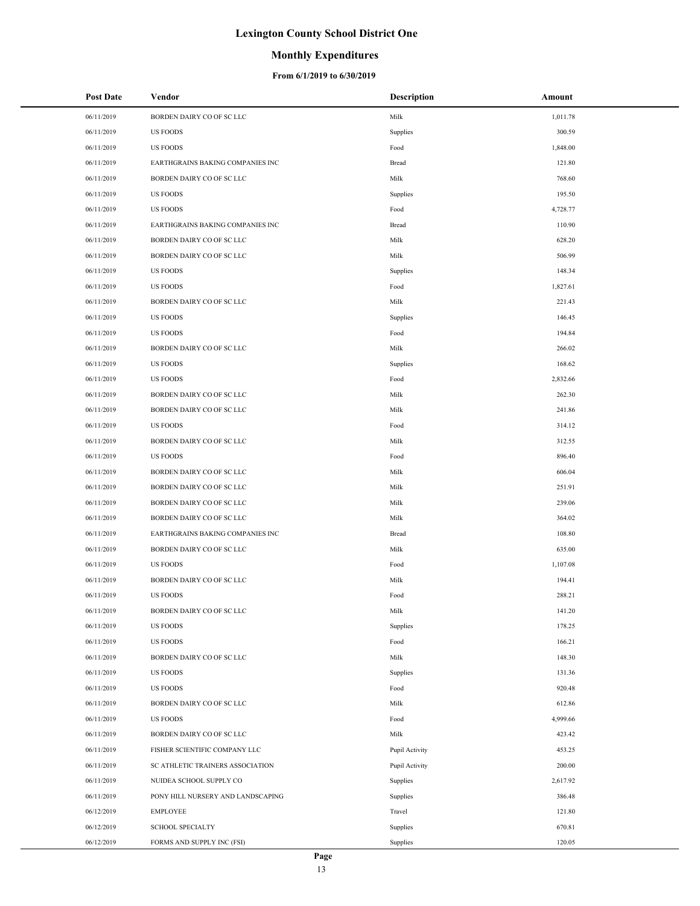### **Monthly Expenditures**

| <b>Post Date</b> | Vendor                            | <b>Description</b> | Amount   |
|------------------|-----------------------------------|--------------------|----------|
| 06/11/2019       | BORDEN DAIRY CO OF SC LLC         | Milk               | 1,011.78 |
| 06/11/2019       | <b>US FOODS</b>                   | Supplies           | 300.59   |
| 06/11/2019       | <b>US FOODS</b>                   | Food               | 1,848.00 |
| 06/11/2019       | EARTHGRAINS BAKING COMPANIES INC  | Bread              | 121.80   |
| 06/11/2019       | BORDEN DAIRY CO OF SC LLC         | Milk               | 768.60   |
| 06/11/2019       | <b>US FOODS</b>                   | Supplies           | 195.50   |
| 06/11/2019       | <b>US FOODS</b>                   | Food               | 4,728.77 |
| 06/11/2019       | EARTHGRAINS BAKING COMPANIES INC  | Bread              | 110.90   |
| 06/11/2019       | BORDEN DAIRY CO OF SC LLC         | Milk               | 628.20   |
| 06/11/2019       | BORDEN DAIRY CO OF SC LLC         | Milk               | 506.99   |
| 06/11/2019       | <b>US FOODS</b>                   | Supplies           | 148.34   |
| 06/11/2019       | <b>US FOODS</b>                   | Food               | 1,827.61 |
| 06/11/2019       | BORDEN DAIRY CO OF SC LLC         | Milk               | 221.43   |
| 06/11/2019       | <b>US FOODS</b>                   | Supplies           | 146.45   |
| 06/11/2019       | <b>US FOODS</b>                   | Food               | 194.84   |
| 06/11/2019       | BORDEN DAIRY CO OF SC LLC         | Milk               | 266.02   |
| 06/11/2019       | <b>US FOODS</b>                   | Supplies           | 168.62   |
| 06/11/2019       | <b>US FOODS</b>                   | Food               | 2,832.66 |
| 06/11/2019       | BORDEN DAIRY CO OF SC LLC         | Milk               | 262.30   |
| 06/11/2019       | BORDEN DAIRY CO OF SC LLC         | Milk               | 241.86   |
| 06/11/2019       | <b>US FOODS</b>                   | Food               | 314.12   |
| 06/11/2019       | BORDEN DAIRY CO OF SC LLC         | Milk               | 312.55   |
| 06/11/2019       | <b>US FOODS</b>                   | Food               | 896.40   |
| 06/11/2019       | BORDEN DAIRY CO OF SC LLC         | Milk               | 606.04   |
| 06/11/2019       | BORDEN DAIRY CO OF SC LLC         | Milk               | 251.91   |
| 06/11/2019       | BORDEN DAIRY CO OF SC LLC         | Milk               | 239.06   |
| 06/11/2019       | BORDEN DAIRY CO OF SC LLC         | Milk               | 364.02   |
| 06/11/2019       | EARTHGRAINS BAKING COMPANIES INC  | Bread              | 108.80   |
| 06/11/2019       | BORDEN DAIRY CO OF SC LLC         | Milk               | 635.00   |
| 06/11/2019       | <b>US FOODS</b>                   | Food               | 1,107.08 |
| 06/11/2019       | BORDEN DAIRY CO OF SC LLC         | Milk               | 194.41   |
| 06/11/2019       | <b>US FOODS</b>                   | Food               | 288.21   |
| 06/11/2019       | BORDEN DAIRY CO OF SC LLC         | Milk               | 141.20   |
| 06/11/2019       | <b>US FOODS</b>                   | Supplies           | 178.25   |
| 06/11/2019       | <b>US FOODS</b>                   | Food               | 166.21   |
| 06/11/2019       | BORDEN DAIRY CO OF SC LLC         | Milk               | 148.30   |
| 06/11/2019       | <b>US FOODS</b>                   | Supplies           | 131.36   |
| 06/11/2019       | <b>US FOODS</b>                   | Food               | 920.48   |
| 06/11/2019       | BORDEN DAIRY CO OF SC LLC         | Milk               | 612.86   |
| 06/11/2019       | <b>US FOODS</b>                   | Food               | 4,999.66 |
| 06/11/2019       | BORDEN DAIRY CO OF SC LLC         | Milk               | 423.42   |
| 06/11/2019       | FISHER SCIENTIFIC COMPANY LLC     | Pupil Activity     | 453.25   |
| 06/11/2019       | SC ATHLETIC TRAINERS ASSOCIATION  | Pupil Activity     | 200.00   |
| 06/11/2019       | NUIDEA SCHOOL SUPPLY CO           | Supplies           | 2,617.92 |
| 06/11/2019       | PONY HILL NURSERY AND LANDSCAPING | Supplies           | 386.48   |
| 06/12/2019       | <b>EMPLOYEE</b>                   | Travel             | 121.80   |
| 06/12/2019       | <b>SCHOOL SPECIALTY</b>           | Supplies           | 670.81   |
| 06/12/2019       | FORMS AND SUPPLY INC (FSI)        | Supplies           | 120.05   |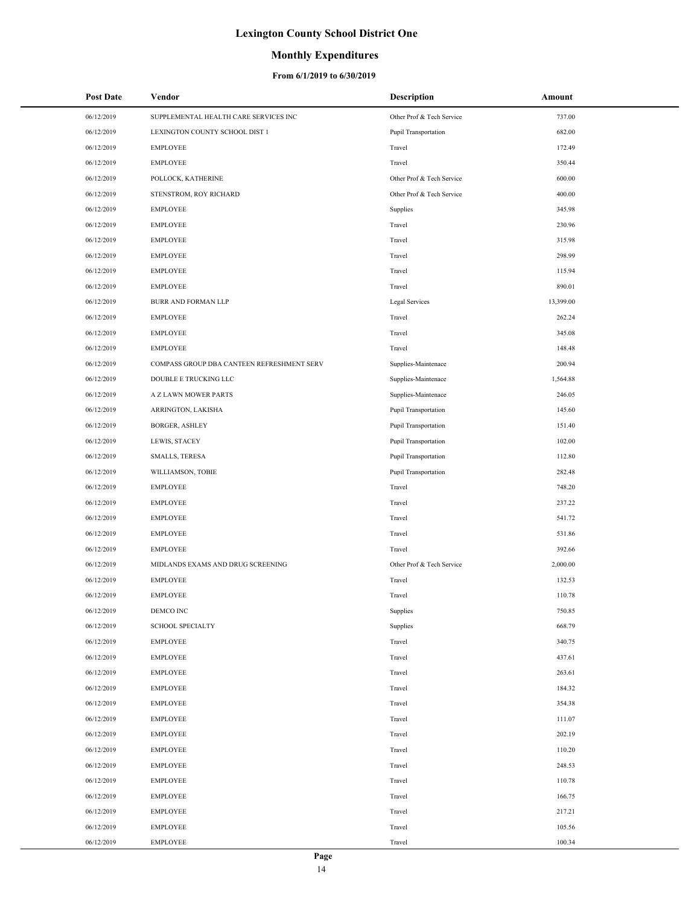## **Monthly Expenditures**

| <b>Post Date</b> | Vendor                                     | <b>Description</b>        | Amount    |
|------------------|--------------------------------------------|---------------------------|-----------|
| 06/12/2019       | SUPPLEMENTAL HEALTH CARE SERVICES INC      | Other Prof & Tech Service | 737.00    |
| 06/12/2019       | LEXINGTON COUNTY SCHOOL DIST 1             | Pupil Transportation      | 682.00    |
| 06/12/2019       | <b>EMPLOYEE</b>                            | Travel                    | 172.49    |
| 06/12/2019       | <b>EMPLOYEE</b>                            | Travel                    | 350.44    |
| 06/12/2019       | POLLOCK, KATHERINE                         | Other Prof & Tech Service | 600.00    |
| 06/12/2019       | STENSTROM, ROY RICHARD                     | Other Prof & Tech Service | 400.00    |
| 06/12/2019       | <b>EMPLOYEE</b>                            | Supplies                  | 345.98    |
| 06/12/2019       | <b>EMPLOYEE</b>                            | Travel                    | 230.96    |
| 06/12/2019       | EMPLOYEE                                   | Travel                    | 315.98    |
| 06/12/2019       | <b>EMPLOYEE</b>                            | Travel                    | 298.99    |
| 06/12/2019       | <b>EMPLOYEE</b>                            | Travel                    | 115.94    |
| 06/12/2019       | <b>EMPLOYEE</b>                            | Travel                    | 890.01    |
| 06/12/2019       | BURR AND FORMAN LLP                        | Legal Services            | 13,399.00 |
| 06/12/2019       | EMPLOYEE                                   | Travel                    | 262.24    |
| 06/12/2019       | <b>EMPLOYEE</b>                            | Travel                    | 345.08    |
| 06/12/2019       | <b>EMPLOYEE</b>                            | Travel                    | 148.48    |
| 06/12/2019       | COMPASS GROUP DBA CANTEEN REFRESHMENT SERV | Supplies-Maintenace       | 200.94    |
| 06/12/2019       | DOUBLE E TRUCKING LLC                      | Supplies-Maintenace       | 1,564.88  |
| 06/12/2019       | A Z LAWN MOWER PARTS                       | Supplies-Maintenace       | 246.05    |
| 06/12/2019       | ARRINGTON, LAKISHA                         | Pupil Transportation      | 145.60    |
| 06/12/2019       | <b>BORGER, ASHLEY</b>                      | Pupil Transportation      | 151.40    |
| 06/12/2019       | LEWIS, STACEY                              | Pupil Transportation      | 102.00    |
| 06/12/2019       | SMALLS, TERESA                             | Pupil Transportation      | 112.80    |
| 06/12/2019       | WILLIAMSON, TOBIE                          | Pupil Transportation      | 282.48    |
| 06/12/2019       | EMPLOYEE                                   | Travel                    | 748.20    |
| 06/12/2019       | EMPLOYEE                                   | Travel                    | 237.22    |
| 06/12/2019       | <b>EMPLOYEE</b>                            | Travel                    | 541.72    |
| 06/12/2019       | <b>EMPLOYEE</b>                            | Travel                    | 531.86    |
| 06/12/2019       | <b>EMPLOYEE</b>                            | Travel                    | 392.66    |
| 06/12/2019       | MIDLANDS EXAMS AND DRUG SCREENING          | Other Prof & Tech Service | 2,000.00  |
| 06/12/2019       | <b>EMPLOYEE</b>                            | Travel                    | 132.53    |
| 06/12/2019       | <b>EMPLOYEE</b>                            | Travel                    | 110.78    |
| 06/12/2019       | DEMCO INC                                  | Supplies                  | 750.85    |
| 06/12/2019       | <b>SCHOOL SPECIALTY</b>                    | Supplies                  | 668.79    |
| 06/12/2019       | EMPLOYEE                                   | Travel                    | 340.75    |
| 06/12/2019       | EMPLOYEE                                   | Travel                    | 437.61    |
| 06/12/2019       | <b>EMPLOYEE</b>                            | Travel                    | 263.61    |
| 06/12/2019       | EMPLOYEE                                   | Travel                    | 184.32    |
| 06/12/2019       | <b>EMPLOYEE</b>                            | Travel                    | 354.38    |
| 06/12/2019       | <b>EMPLOYEE</b>                            | Travel                    | 111.07    |
| 06/12/2019       | <b>EMPLOYEE</b>                            | Travel                    | 202.19    |
| 06/12/2019       | EMPLOYEE                                   | Travel                    | 110.20    |
| 06/12/2019       | EMPLOYEE                                   | Travel                    | 248.53    |
| 06/12/2019       | EMPLOYEE                                   | Travel                    | 110.78    |
| 06/12/2019       | EMPLOYEE                                   | Travel                    | 166.75    |
| 06/12/2019       | EMPLOYEE                                   | Travel                    | 217.21    |
| 06/12/2019       | <b>EMPLOYEE</b>                            | Travel                    | 105.56    |
| 06/12/2019       | <b>EMPLOYEE</b>                            | Travel                    | 100.34    |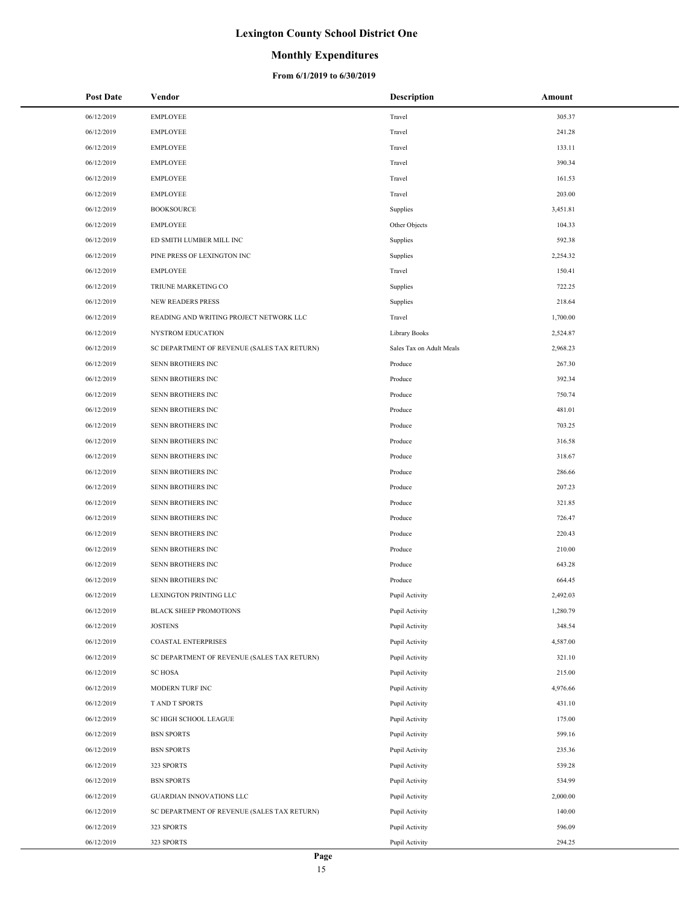### **Monthly Expenditures**

#### **From 6/1/2019 to 6/30/2019**

| <b>Post Date</b>         | Vendor                                      | Description              | Amount           |
|--------------------------|---------------------------------------------|--------------------------|------------------|
| 06/12/2019               | <b>EMPLOYEE</b>                             | Travel                   | 305.37           |
| 06/12/2019               | <b>EMPLOYEE</b>                             | Travel                   | 241.28           |
| 06/12/2019               | <b>EMPLOYEE</b>                             | Travel                   | 133.11           |
| 06/12/2019               | <b>EMPLOYEE</b>                             | Travel                   | 390.34           |
| 06/12/2019               | <b>EMPLOYEE</b>                             | Travel                   | 161.53           |
| 06/12/2019               | <b>EMPLOYEE</b>                             | Travel                   | 203.00           |
| 06/12/2019               | <b>BOOKSOURCE</b>                           | Supplies                 | 3,451.81         |
| 06/12/2019               | <b>EMPLOYEE</b>                             | Other Objects            | 104.33           |
| 06/12/2019               | ED SMITH LUMBER MILL INC                    | Supplies                 | 592.38           |
| 06/12/2019               | PINE PRESS OF LEXINGTON INC                 | Supplies                 | 2,254.32         |
| 06/12/2019               | <b>EMPLOYEE</b>                             | Travel                   | 150.41           |
| 06/12/2019               | TRIUNE MARKETING CO                         | Supplies                 | 722.25           |
| 06/12/2019               | <b>NEW READERS PRESS</b>                    | Supplies                 | 218.64           |
| 06/12/2019               | READING AND WRITING PROJECT NETWORK LLC     | Travel                   | 1,700.00         |
| 06/12/2019               | NYSTROM EDUCATION                           | Library Books            | 2,524.87         |
| 06/12/2019               | SC DEPARTMENT OF REVENUE (SALES TAX RETURN) | Sales Tax on Adult Meals | 2,968.23         |
| 06/12/2019               | SENN BROTHERS INC                           | Produce                  | 267.30           |
| 06/12/2019               | SENN BROTHERS INC                           | Produce                  | 392.34           |
| 06/12/2019               | SENN BROTHERS INC                           | Produce                  | 750.74           |
| 06/12/2019               | SENN BROTHERS INC                           | Produce                  | 481.01           |
| 06/12/2019               | SENN BROTHERS INC                           | Produce                  | 703.25           |
| 06/12/2019               | SENN BROTHERS INC                           | Produce                  | 316.58           |
| 06/12/2019               | SENN BROTHERS INC                           | Produce                  | 318.67           |
| 06/12/2019               | SENN BROTHERS INC                           | Produce                  | 286.66           |
| 06/12/2019               | SENN BROTHERS INC                           | Produce                  | 207.23           |
| 06/12/2019               | SENN BROTHERS INC                           | Produce                  | 321.85           |
| 06/12/2019               | SENN BROTHERS INC                           | Produce                  | 726.47           |
| 06/12/2019               | SENN BROTHERS INC                           | Produce                  | 220.43           |
| 06/12/2019               | <b>SENN BROTHERS INC</b>                    | Produce                  | 210.00           |
| 06/12/2019               | SENN BROTHERS INC                           | Produce                  | 643.28           |
| 06/12/2019               | SENN BROTHERS INC                           | Produce                  | 664.45           |
| 06/12/2019               | LEXINGTON PRINTING LLC                      | Pupil Activity           | 2,492.03         |
| 06/12/2019               | <b>BLACK SHEEP PROMOTIONS</b>               | Pupil Activity           | 1,280.79         |
| 06/12/2019               | <b>JOSTENS</b>                              | Pupil Activity           | 348.54           |
| 06/12/2019               | COASTAL ENTERPRISES                         | Pupil Activity           | 4,587.00         |
| 06/12/2019               | SC DEPARTMENT OF REVENUE (SALES TAX RETURN) | Pupil Activity           | 321.10           |
| 06/12/2019               | <b>SC HOSA</b>                              | Pupil Activity           | 215.00           |
| 06/12/2019               | MODERN TURF INC                             | Pupil Activity           | 4,976.66         |
| 06/12/2019               | <b>TAND T SPORTS</b>                        | Pupil Activity           | 431.10           |
| 06/12/2019               | <b>SC HIGH SCHOOL LEAGUE</b>                | Pupil Activity           | 175.00           |
| 06/12/2019               | <b>BSN SPORTS</b>                           | Pupil Activity           | 599.16           |
| 06/12/2019               | <b>BSN SPORTS</b>                           | Pupil Activity           | 235.36           |
| 06/12/2019               | 323 SPORTS                                  | Pupil Activity           | 539.28           |
| 06/12/2019               | <b>BSN SPORTS</b>                           | Pupil Activity           | 534.99           |
| 06/12/2019               | GUARDIAN INNOVATIONS LLC                    | Pupil Activity           | 2,000.00         |
| 06/12/2019               | SC DEPARTMENT OF REVENUE (SALES TAX RETURN) | Pupil Activity           | 140.00           |
| 06/12/2019<br>06/12/2019 | 323 SPORTS<br>323 SPORTS                    | Pupil Activity           | 596.09<br>294.25 |
|                          |                                             | Pupil Activity           |                  |

 $\overline{\phantom{a}}$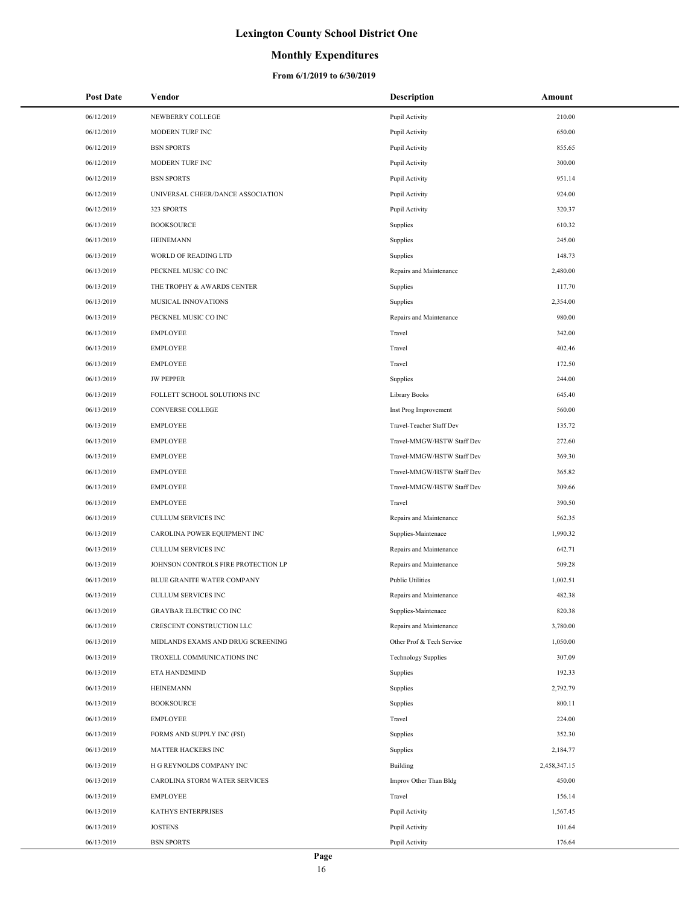## **Monthly Expenditures**

| <b>Post Date</b> | Vendor                              | <b>Description</b>         | Amount       |
|------------------|-------------------------------------|----------------------------|--------------|
| 06/12/2019       | NEWBERRY COLLEGE                    | Pupil Activity             | 210.00       |
| 06/12/2019       | MODERN TURF INC                     | Pupil Activity             | 650.00       |
| 06/12/2019       | <b>BSN SPORTS</b>                   | Pupil Activity             | 855.65       |
| 06/12/2019       | MODERN TURF INC                     | Pupil Activity             | 300.00       |
| 06/12/2019       | <b>BSN SPORTS</b>                   | Pupil Activity             | 951.14       |
| 06/12/2019       | UNIVERSAL CHEER/DANCE ASSOCIATION   | Pupil Activity             | 924.00       |
| 06/12/2019       | 323 SPORTS                          | Pupil Activity             | 320.37       |
| 06/13/2019       | <b>BOOKSOURCE</b>                   | Supplies                   | 610.32       |
| 06/13/2019       | <b>HEINEMANN</b>                    | Supplies                   | 245.00       |
| 06/13/2019       | WORLD OF READING LTD                | Supplies                   | 148.73       |
| 06/13/2019       | PECKNEL MUSIC CO INC                | Repairs and Maintenance    | 2,480.00     |
| 06/13/2019       | THE TROPHY & AWARDS CENTER          | Supplies                   | 117.70       |
| 06/13/2019       | MUSICAL INNOVATIONS                 | Supplies                   | 2,354.00     |
| 06/13/2019       | PECKNEL MUSIC CO INC                | Repairs and Maintenance    | 980.00       |
| 06/13/2019       | <b>EMPLOYEE</b>                     | Travel                     | 342.00       |
| 06/13/2019       | <b>EMPLOYEE</b>                     | Travel                     | 402.46       |
| 06/13/2019       | <b>EMPLOYEE</b>                     | Travel                     | 172.50       |
| 06/13/2019       | <b>JW PEPPER</b>                    | Supplies                   | 244.00       |
| 06/13/2019       | FOLLETT SCHOOL SOLUTIONS INC        | Library Books              | 645.40       |
| 06/13/2019       | CONVERSE COLLEGE                    | Inst Prog Improvement      | 560.00       |
| 06/13/2019       | <b>EMPLOYEE</b>                     | Travel-Teacher Staff Dev   | 135.72       |
| 06/13/2019       | <b>EMPLOYEE</b>                     | Travel-MMGW/HSTW Staff Dev | 272.60       |
| 06/13/2019       | <b>EMPLOYEE</b>                     | Travel-MMGW/HSTW Staff Dev | 369.30       |
| 06/13/2019       | <b>EMPLOYEE</b>                     | Travel-MMGW/HSTW Staff Dev | 365.82       |
| 06/13/2019       | <b>EMPLOYEE</b>                     | Travel-MMGW/HSTW Staff Dev | 309.66       |
| 06/13/2019       | <b>EMPLOYEE</b>                     | Travel                     | 390.50       |
| 06/13/2019       | CULLUM SERVICES INC                 | Repairs and Maintenance    | 562.35       |
| 06/13/2019       | CAROLINA POWER EQUIPMENT INC        | Supplies-Maintenace        | 1,990.32     |
| 06/13/2019       | CULLUM SERVICES INC                 | Repairs and Maintenance    | 642.71       |
| 06/13/2019       | JOHNSON CONTROLS FIRE PROTECTION LP | Repairs and Maintenance    | 509.28       |
| 06/13/2019       | BLUE GRANITE WATER COMPANY          | <b>Public Utilities</b>    | 1,002.51     |
| 06/13/2019       | CULLUM SERVICES INC                 | Repairs and Maintenance    | 482.38       |
| 06/13/2019       | <b>GRAYBAR ELECTRIC CO INC</b>      | Supplies-Maintenace        | 820.38       |
| 06/13/2019       | CRESCENT CONSTRUCTION LLC           | Repairs and Maintenance    | 3,780.00     |
| 06/13/2019       | MIDLANDS EXAMS AND DRUG SCREENING   | Other Prof & Tech Service  | 1,050.00     |
| 06/13/2019       | TROXELL COMMUNICATIONS INC          | <b>Technology Supplies</b> | 307.09       |
| 06/13/2019       | ETA HAND2MIND                       | Supplies                   | 192.33       |
| 06/13/2019       | <b>HEINEMANN</b>                    | Supplies                   | 2,792.79     |
| 06/13/2019       | <b>BOOKSOURCE</b>                   | Supplies                   | 800.11       |
| 06/13/2019       | <b>EMPLOYEE</b>                     | Travel                     | 224.00       |
| 06/13/2019       | FORMS AND SUPPLY INC (FSI)          | Supplies                   | 352.30       |
| 06/13/2019       | MATTER HACKERS INC                  | Supplies                   | 2,184.77     |
| 06/13/2019       | H G REYNOLDS COMPANY INC            | Building                   | 2,458,347.15 |
| 06/13/2019       | CAROLINA STORM WATER SERVICES       | Improv Other Than Bldg     | 450.00       |
| 06/13/2019       | <b>EMPLOYEE</b>                     | Travel                     | 156.14       |
| 06/13/2019       | KATHYS ENTERPRISES                  | Pupil Activity             | 1,567.45     |
| 06/13/2019       | <b>JOSTENS</b>                      | Pupil Activity             | 101.64       |
| 06/13/2019       | <b>BSN SPORTS</b>                   | Pupil Activity             | 176.64       |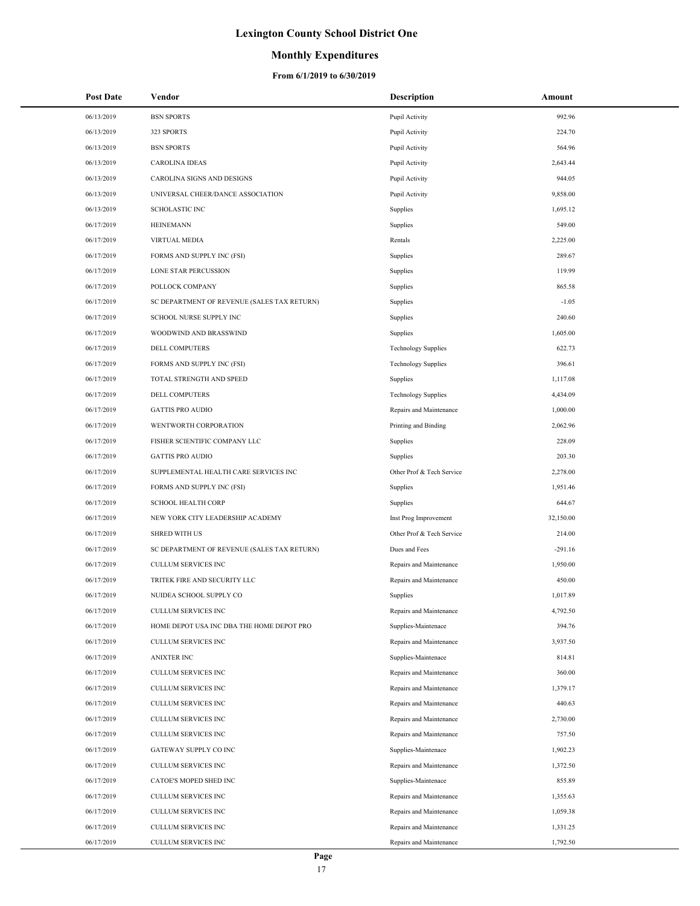## **Monthly Expenditures**

| <b>Post Date</b> | Vendor                                      | <b>Description</b>         | Amount    |
|------------------|---------------------------------------------|----------------------------|-----------|
| 06/13/2019       | <b>BSN SPORTS</b>                           | Pupil Activity             | 992.96    |
| 06/13/2019       | 323 SPORTS                                  | Pupil Activity             | 224.70    |
| 06/13/2019       | <b>BSN SPORTS</b>                           | Pupil Activity             | 564.96    |
| 06/13/2019       | <b>CAROLINA IDEAS</b>                       | Pupil Activity             | 2,643.44  |
| 06/13/2019       | CAROLINA SIGNS AND DESIGNS                  | Pupil Activity             | 944.05    |
| 06/13/2019       | UNIVERSAL CHEER/DANCE ASSOCIATION           | Pupil Activity             | 9,858.00  |
| 06/13/2019       | <b>SCHOLASTIC INC</b>                       | Supplies                   | 1,695.12  |
| 06/17/2019       | <b>HEINEMANN</b>                            | Supplies                   | 549.00    |
| 06/17/2019       | <b>VIRTUAL MEDIA</b>                        | Rentals                    | 2,225.00  |
| 06/17/2019       | FORMS AND SUPPLY INC (FSI)                  | Supplies                   | 289.67    |
| 06/17/2019       | <b>LONE STAR PERCUSSION</b>                 | Supplies                   | 119.99    |
| 06/17/2019       | POLLOCK COMPANY                             | Supplies                   | 865.58    |
| 06/17/2019       | SC DEPARTMENT OF REVENUE (SALES TAX RETURN) | Supplies                   | $-1.05$   |
| 06/17/2019       | SCHOOL NURSE SUPPLY INC                     | Supplies                   | 240.60    |
| 06/17/2019       | WOODWIND AND BRASSWIND                      | Supplies                   | 1,605.00  |
| 06/17/2019       | DELL COMPUTERS                              | <b>Technology Supplies</b> | 622.73    |
| 06/17/2019       | FORMS AND SUPPLY INC (FSI)                  | <b>Technology Supplies</b> | 396.61    |
| 06/17/2019       | TOTAL STRENGTH AND SPEED                    | Supplies                   | 1,117.08  |
| 06/17/2019       | <b>DELL COMPUTERS</b>                       | <b>Technology Supplies</b> | 4,434.09  |
| 06/17/2019       | <b>GATTIS PRO AUDIO</b>                     | Repairs and Maintenance    | 1,000.00  |
| 06/17/2019       | WENTWORTH CORPORATION                       | Printing and Binding       | 2,062.96  |
| 06/17/2019       | FISHER SCIENTIFIC COMPANY LLC               | Supplies                   | 228.09    |
| 06/17/2019       | <b>GATTIS PRO AUDIO</b>                     | Supplies                   | 203.30    |
| 06/17/2019       | SUPPLEMENTAL HEALTH CARE SERVICES INC       | Other Prof & Tech Service  | 2,278.00  |
| 06/17/2019       | FORMS AND SUPPLY INC (FSI)                  | Supplies                   | 1,951.46  |
| 06/17/2019       | <b>SCHOOL HEALTH CORP</b>                   | Supplies                   | 644.67    |
| 06/17/2019       | NEW YORK CITY LEADERSHIP ACADEMY            | Inst Prog Improvement      | 32,150.00 |
| 06/17/2019       | <b>SHRED WITH US</b>                        | Other Prof & Tech Service  | 214.00    |
| 06/17/2019       | SC DEPARTMENT OF REVENUE (SALES TAX RETURN) | Dues and Fees              | $-291.16$ |
| 06/17/2019       | <b>CULLUM SERVICES INC</b>                  | Repairs and Maintenance    | 1,950.00  |
| 06/17/2019       | TRITEK FIRE AND SECURITY LLC                | Repairs and Maintenance    | 450.00    |
| 06/17/2019       | NUIDEA SCHOOL SUPPLY CO                     | Supplies                   | 1,017.89  |
| 06/17/2019       | CULLUM SERVICES INC                         | Repairs and Maintenance    | 4,792.50  |
| 06/17/2019       | HOME DEPOT USA INC DBA THE HOME DEPOT PRO   | Supplies-Maintenace        | 394.76    |
| 06/17/2019       | CULLUM SERVICES INC                         | Repairs and Maintenance    | 3,937.50  |
| 06/17/2019       | <b>ANIXTER INC</b>                          | Supplies-Maintenace        | 814.81    |
| 06/17/2019       | CULLUM SERVICES INC                         | Repairs and Maintenance    | 360.00    |
| 06/17/2019       | CULLUM SERVICES INC                         | Repairs and Maintenance    | 1,379.17  |
| 06/17/2019       | CULLUM SERVICES INC                         | Repairs and Maintenance    | 440.63    |
| 06/17/2019       | <b>CULLUM SERVICES INC</b>                  | Repairs and Maintenance    | 2,730.00  |
| 06/17/2019       | CULLUM SERVICES INC                         | Repairs and Maintenance    | 757.50    |
| 06/17/2019       | GATEWAY SUPPLY CO INC                       | Supplies-Maintenace        | 1,902.23  |
| 06/17/2019       | CULLUM SERVICES INC                         | Repairs and Maintenance    | 1,372.50  |
| 06/17/2019       | CATOE'S MOPED SHED INC                      | Supplies-Maintenace        | 855.89    |
| 06/17/2019       | CULLUM SERVICES INC                         | Repairs and Maintenance    | 1,355.63  |
| 06/17/2019       | CULLUM SERVICES INC                         | Repairs and Maintenance    | 1,059.38  |
| 06/17/2019       | CULLUM SERVICES INC                         | Repairs and Maintenance    | 1,331.25  |
| 06/17/2019       | CULLUM SERVICES INC                         | Repairs and Maintenance    | 1,792.50  |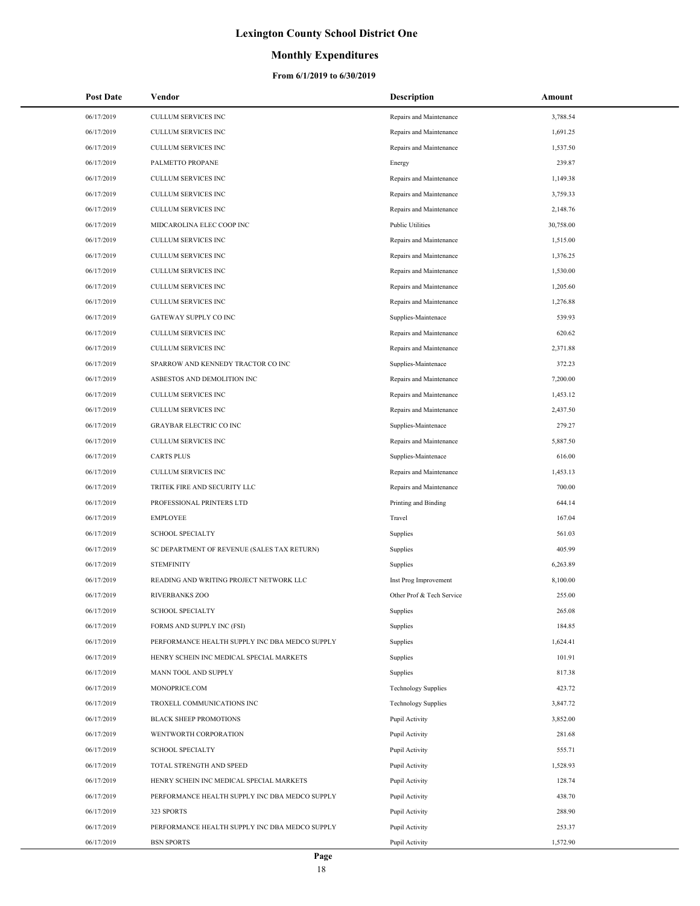## **Monthly Expenditures**

#### **From 6/1/2019 to 6/30/2019**

÷,

| <b>Post Date</b> | Vendor                                         | <b>Description</b>         | Amount    |
|------------------|------------------------------------------------|----------------------------|-----------|
| 06/17/2019       | <b>CULLUM SERVICES INC</b>                     | Repairs and Maintenance    | 3,788.54  |
| 06/17/2019       | CULLUM SERVICES INC                            | Repairs and Maintenance    | 1,691.25  |
| 06/17/2019       | <b>CULLUM SERVICES INC</b>                     | Repairs and Maintenance    | 1,537.50  |
| 06/17/2019       | PALMETTO PROPANE                               | Energy                     | 239.87    |
| 06/17/2019       | CULLUM SERVICES INC                            | Repairs and Maintenance    | 1,149.38  |
| 06/17/2019       | CULLUM SERVICES INC                            | Repairs and Maintenance    | 3,759.33  |
| 06/17/2019       | <b>CULLUM SERVICES INC</b>                     | Repairs and Maintenance    | 2,148.76  |
| 06/17/2019       | MIDCAROLINA ELEC COOP INC                      | <b>Public Utilities</b>    | 30,758.00 |
| 06/17/2019       | CULLUM SERVICES INC                            | Repairs and Maintenance    | 1,515.00  |
| 06/17/2019       | CULLUM SERVICES INC                            | Repairs and Maintenance    | 1,376.25  |
| 06/17/2019       | <b>CULLUM SERVICES INC</b>                     | Repairs and Maintenance    | 1,530.00  |
| 06/17/2019       | <b>CULLUM SERVICES INC</b>                     | Repairs and Maintenance    | 1,205.60  |
| 06/17/2019       | CULLUM SERVICES INC                            | Repairs and Maintenance    | 1,276.88  |
| 06/17/2019       | GATEWAY SUPPLY CO INC                          | Supplies-Maintenace        | 539.93    |
| 06/17/2019       | <b>CULLUM SERVICES INC</b>                     | Repairs and Maintenance    | 620.62    |
| 06/17/2019       | <b>CULLUM SERVICES INC</b>                     | Repairs and Maintenance    | 2,371.88  |
| 06/17/2019       | SPARROW AND KENNEDY TRACTOR CO INC             | Supplies-Maintenace        | 372.23    |
| 06/17/2019       | ASBESTOS AND DEMOLITION INC                    | Repairs and Maintenance    | 7,200.00  |
| 06/17/2019       | <b>CULLUM SERVICES INC</b>                     | Repairs and Maintenance    | 1,453.12  |
| 06/17/2019       | <b>CULLUM SERVICES INC</b>                     | Repairs and Maintenance    | 2,437.50  |
| 06/17/2019       | <b>GRAYBAR ELECTRIC CO INC</b>                 | Supplies-Maintenace        | 279.27    |
| 06/17/2019       | CULLUM SERVICES INC                            | Repairs and Maintenance    | 5,887.50  |
| 06/17/2019       | <b>CARTS PLUS</b>                              | Supplies-Maintenace        | 616.00    |
| 06/17/2019       | <b>CULLUM SERVICES INC</b>                     | Repairs and Maintenance    | 1,453.13  |
| 06/17/2019       | TRITEK FIRE AND SECURITY LLC                   | Repairs and Maintenance    | 700.00    |
| 06/17/2019       | PROFESSIONAL PRINTERS LTD                      | Printing and Binding       | 644.14    |
| 06/17/2019       | <b>EMPLOYEE</b>                                | Travel                     | 167.04    |
| 06/17/2019       | <b>SCHOOL SPECIALTY</b>                        | Supplies                   | 561.03    |
| 06/17/2019       | SC DEPARTMENT OF REVENUE (SALES TAX RETURN)    | Supplies                   | 405.99    |
| 06/17/2019       | <b>STEMFINITY</b>                              | Supplies                   | 6,263.89  |
| 06/17/2019       | READING AND WRITING PROJECT NETWORK LLC        | Inst Prog Improvement      | 8,100.00  |
| 06/17/2019       | <b>RIVERBANKS ZOO</b>                          | Other Prof & Tech Service  | 255.00    |
| 06/17/2019       | <b>SCHOOL SPECIALTY</b>                        | Supplies                   | 265.08    |
| 06/17/2019       | FORMS AND SUPPLY INC (FSI)                     | Supplies                   | 184.85    |
| 06/17/2019       | PERFORMANCE HEALTH SUPPLY INC DBA MEDCO SUPPLY | Supplies                   | 1,624.41  |
| 06/17/2019       | HENRY SCHEIN INC MEDICAL SPECIAL MARKETS       | Supplies                   | 101.91    |
| 06/17/2019       | MANN TOOL AND SUPPLY                           | Supplies                   | 817.38    |
| 06/17/2019       | MONOPRICE.COM                                  | <b>Technology Supplies</b> | 423.72    |
| 06/17/2019       | TROXELL COMMUNICATIONS INC                     | <b>Technology Supplies</b> | 3,847.72  |
| 06/17/2019       | <b>BLACK SHEEP PROMOTIONS</b>                  | Pupil Activity             | 3,852.00  |
| 06/17/2019       | WENTWORTH CORPORATION                          | Pupil Activity             | 281.68    |
| 06/17/2019       | <b>SCHOOL SPECIALTY</b>                        | Pupil Activity             | 555.71    |
| 06/17/2019       | TOTAL STRENGTH AND SPEED                       | Pupil Activity             | 1,528.93  |
| 06/17/2019       | HENRY SCHEIN INC MEDICAL SPECIAL MARKETS       | Pupil Activity             | 128.74    |
| 06/17/2019       | PERFORMANCE HEALTH SUPPLY INC DBA MEDCO SUPPLY | Pupil Activity             | 438.70    |
| 06/17/2019       | 323 SPORTS                                     | Pupil Activity             | 288.90    |
| 06/17/2019       | PERFORMANCE HEALTH SUPPLY INC DBA MEDCO SUPPLY | Pupil Activity             | 253.37    |
| 06/17/2019       | <b>BSN SPORTS</b>                              | Pupil Activity             | 1,572.90  |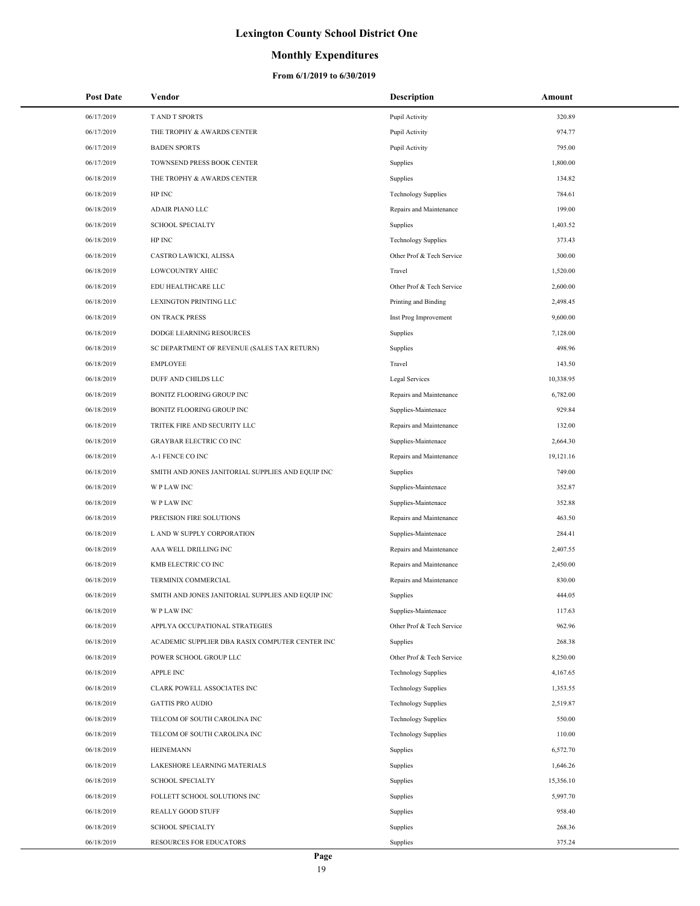### **Monthly Expenditures**

| <b>Post Date</b> | Vendor                                            | <b>Description</b>         | Amount    |
|------------------|---------------------------------------------------|----------------------------|-----------|
| 06/17/2019       | T AND T SPORTS                                    | Pupil Activity             | 320.89    |
| 06/17/2019       | THE TROPHY & AWARDS CENTER                        | Pupil Activity             | 974.77    |
| 06/17/2019       | <b>BADEN SPORTS</b>                               | Pupil Activity             | 795.00    |
| 06/17/2019       | TOWNSEND PRESS BOOK CENTER                        | Supplies                   | 1,800.00  |
| 06/18/2019       | THE TROPHY & AWARDS CENTER                        | Supplies                   | 134.82    |
| 06/18/2019       | HP INC                                            | <b>Technology Supplies</b> | 784.61    |
| 06/18/2019       | ADAIR PIANO LLC                                   | Repairs and Maintenance    | 199.00    |
| 06/18/2019       | <b>SCHOOL SPECIALTY</b>                           | Supplies                   | 1,403.52  |
| 06/18/2019       | HP INC                                            | <b>Technology Supplies</b> | 373.43    |
| 06/18/2019       | CASTRO LAWICKI, ALISSA                            | Other Prof & Tech Service  | 300.00    |
| 06/18/2019       | <b>LOWCOUNTRY AHEC</b>                            | Travel                     | 1,520.00  |
| 06/18/2019       | EDU HEALTHCARE LLC                                | Other Prof & Tech Service  | 2,600.00  |
| 06/18/2019       | LEXINGTON PRINTING LLC                            | Printing and Binding       | 2,498.45  |
| 06/18/2019       | ON TRACK PRESS                                    | Inst Prog Improvement      | 9,600.00  |
| 06/18/2019       | DODGE LEARNING RESOURCES                          | Supplies                   | 7,128.00  |
| 06/18/2019       | SC DEPARTMENT OF REVENUE (SALES TAX RETURN)       | Supplies                   | 498.96    |
| 06/18/2019       | <b>EMPLOYEE</b>                                   | Travel                     | 143.50    |
| 06/18/2019       | DUFF AND CHILDS LLC                               | Legal Services             | 10,338.95 |
| 06/18/2019       | BONITZ FLOORING GROUP INC                         | Repairs and Maintenance    | 6,782.00  |
| 06/18/2019       | BONITZ FLOORING GROUP INC                         | Supplies-Maintenace        | 929.84    |
| 06/18/2019       | TRITEK FIRE AND SECURITY LLC                      | Repairs and Maintenance    | 132.00    |
| 06/18/2019       | <b>GRAYBAR ELECTRIC CO INC</b>                    | Supplies-Maintenace        | 2,664.30  |
| 06/18/2019       | A-1 FENCE CO INC                                  | Repairs and Maintenance    | 19,121.16 |
| 06/18/2019       | SMITH AND JONES JANITORIAL SUPPLIES AND EQUIP INC | Supplies                   | 749.00    |
| 06/18/2019       | W P LAW INC                                       | Supplies-Maintenace        | 352.87    |
| 06/18/2019       | W P LAW INC                                       | Supplies-Maintenace        | 352.88    |
| 06/18/2019       | PRECISION FIRE SOLUTIONS                          | Repairs and Maintenance    | 463.50    |
| 06/18/2019       | L AND W SUPPLY CORPORATION                        | Supplies-Maintenace        | 284.41    |
| 06/18/2019       | AAA WELL DRILLING INC                             | Repairs and Maintenance    | 2,407.55  |
| 06/18/2019       | KMB ELECTRIC CO INC                               | Repairs and Maintenance    | 2,450.00  |
| 06/18/2019       | TERMINIX COMMERCIAL                               | Repairs and Maintenance    | 830.00    |
| 06/18/2019       | SMITH AND JONES JANITORIAL SUPPLIES AND EQUIP INC | Supplies                   | 444.05    |
| 06/18/2019       | W P LAW INC                                       | Supplies-Maintenace        | 117.63    |
| 06/18/2019       | APPLYA OCCUPATIONAL STRATEGIES                    | Other Prof & Tech Service  | 962.96    |
| 06/18/2019       | ACADEMIC SUPPLIER DBA RASIX COMPUTER CENTER INC   | Supplies                   | 268.38    |
| 06/18/2019       | POWER SCHOOL GROUP LLC                            | Other Prof & Tech Service  | 8,250.00  |
| 06/18/2019       | <b>APPLE INC</b>                                  | <b>Technology Supplies</b> | 4,167.65  |
| 06/18/2019       | CLARK POWELL ASSOCIATES INC                       | <b>Technology Supplies</b> | 1,353.55  |
| 06/18/2019       | <b>GATTIS PRO AUDIO</b>                           | <b>Technology Supplies</b> | 2,519.87  |
| 06/18/2019       | TELCOM OF SOUTH CAROLINA INC                      | <b>Technology Supplies</b> | 550.00    |
| 06/18/2019       | TELCOM OF SOUTH CAROLINA INC                      | <b>Technology Supplies</b> | 110.00    |
| 06/18/2019       | <b>HEINEMANN</b>                                  | Supplies                   | 6,572.70  |
| 06/18/2019       | LAKESHORE LEARNING MATERIALS                      | Supplies                   | 1,646.26  |
| 06/18/2019       | <b>SCHOOL SPECIALTY</b>                           | Supplies                   | 15,356.10 |
| 06/18/2019       | FOLLETT SCHOOL SOLUTIONS INC                      | Supplies                   | 5,997.70  |
| 06/18/2019       | REALLY GOOD STUFF                                 | Supplies                   | 958.40    |
| 06/18/2019       | <b>SCHOOL SPECIALTY</b>                           | Supplies                   | 268.36    |
| 06/18/2019       | RESOURCES FOR EDUCATORS                           | Supplies                   | 375.24    |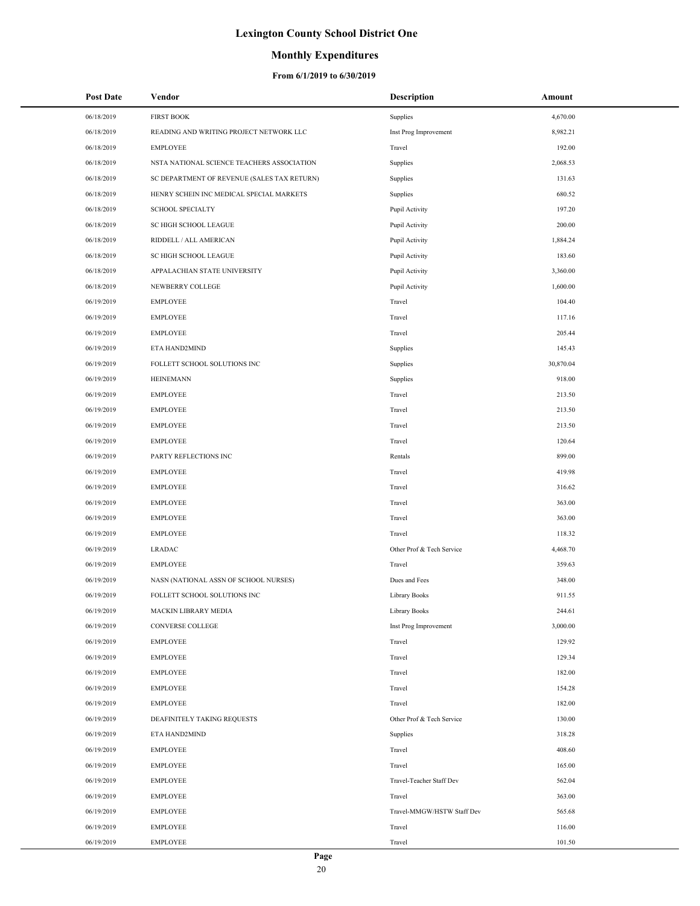### **Monthly Expenditures**

| <b>Post Date</b> | Vendor                                      | <b>Description</b>         | Amount    |
|------------------|---------------------------------------------|----------------------------|-----------|
| 06/18/2019       | <b>FIRST BOOK</b>                           | Supplies                   | 4,670.00  |
| 06/18/2019       | READING AND WRITING PROJECT NETWORK LLC     | Inst Prog Improvement      | 8,982.21  |
| 06/18/2019       | <b>EMPLOYEE</b>                             | Travel                     | 192.00    |
| 06/18/2019       | NSTA NATIONAL SCIENCE TEACHERS ASSOCIATION  | Supplies                   | 2,068.53  |
| 06/18/2019       | SC DEPARTMENT OF REVENUE (SALES TAX RETURN) | Supplies                   | 131.63    |
| 06/18/2019       | HENRY SCHEIN INC MEDICAL SPECIAL MARKETS    | Supplies                   | 680.52    |
| 06/18/2019       | SCHOOL SPECIALTY                            | Pupil Activity             | 197.20    |
| 06/18/2019       | SC HIGH SCHOOL LEAGUE                       | Pupil Activity             | 200.00    |
| 06/18/2019       | RIDDELL / ALL AMERICAN                      | Pupil Activity             | 1,884.24  |
| 06/18/2019       | SC HIGH SCHOOL LEAGUE                       | Pupil Activity             | 183.60    |
| 06/18/2019       | APPALACHIAN STATE UNIVERSITY                | Pupil Activity             | 3,360.00  |
| 06/18/2019       | NEWBERRY COLLEGE                            | Pupil Activity             | 1,600.00  |
| 06/19/2019       | <b>EMPLOYEE</b>                             | Travel                     | 104.40    |
| 06/19/2019       | <b>EMPLOYEE</b>                             | Travel                     | 117.16    |
| 06/19/2019       | <b>EMPLOYEE</b>                             | Travel                     | 205.44    |
| 06/19/2019       | ETA HAND2MIND                               | Supplies                   | 145.43    |
| 06/19/2019       | FOLLETT SCHOOL SOLUTIONS INC                | Supplies                   | 30,870.04 |
| 06/19/2019       | <b>HEINEMANN</b>                            | Supplies                   | 918.00    |
| 06/19/2019       | <b>EMPLOYEE</b>                             | Travel                     | 213.50    |
| 06/19/2019       | <b>EMPLOYEE</b>                             | Travel                     | 213.50    |
| 06/19/2019       | <b>EMPLOYEE</b>                             | Travel                     | 213.50    |
| 06/19/2019       | <b>EMPLOYEE</b>                             | Travel                     | 120.64    |
| 06/19/2019       | PARTY REFLECTIONS INC                       | Rentals                    | 899.00    |
| 06/19/2019       | <b>EMPLOYEE</b>                             | Travel                     | 419.98    |
| 06/19/2019       | <b>EMPLOYEE</b>                             | Travel                     | 316.62    |
| 06/19/2019       | <b>EMPLOYEE</b>                             | Travel                     | 363.00    |
| 06/19/2019       | <b>EMPLOYEE</b>                             | Travel                     | 363.00    |
| 06/19/2019       | <b>EMPLOYEE</b>                             | Travel                     | 118.32    |
| 06/19/2019       | <b>LRADAC</b>                               | Other Prof & Tech Service  | 4,468.70  |
| 06/19/2019       | <b>EMPLOYEE</b>                             | Travel                     | 359.63    |
| 06/19/2019       | NASN (NATIONAL ASSN OF SCHOOL NURSES)       | Dues and Fees              | 348.00    |
| 06/19/2019       | FOLLETT SCHOOL SOLUTIONS INC                | Library Books              | 911.55    |
| 06/19/2019       | MACKIN LIBRARY MEDIA                        | Library Books              | 244.61    |
| 06/19/2019       | CONVERSE COLLEGE                            | Inst Prog Improvement      | 3,000.00  |
| 06/19/2019       | <b>EMPLOYEE</b>                             | Travel                     | 129.92    |
| 06/19/2019       | <b>EMPLOYEE</b>                             | Travel                     | 129.34    |
| 06/19/2019       | <b>EMPLOYEE</b>                             | Travel                     | 182.00    |
| 06/19/2019       | <b>EMPLOYEE</b>                             | Travel                     | 154.28    |
| 06/19/2019       | <b>EMPLOYEE</b>                             | Travel                     | 182.00    |
| 06/19/2019       | DEAFINITELY TAKING REQUESTS                 | Other Prof & Tech Service  | 130.00    |
| 06/19/2019       | ETA HAND2MIND                               | Supplies                   | 318.28    |
| 06/19/2019       | <b>EMPLOYEE</b>                             | Travel                     | 408.60    |
| 06/19/2019       | <b>EMPLOYEE</b>                             | Travel                     | 165.00    |
| 06/19/2019       | <b>EMPLOYEE</b>                             | Travel-Teacher Staff Dev   | 562.04    |
| 06/19/2019       | <b>EMPLOYEE</b>                             | Travel                     | 363.00    |
| 06/19/2019       | <b>EMPLOYEE</b>                             | Travel-MMGW/HSTW Staff Dev | 565.68    |
| 06/19/2019       | <b>EMPLOYEE</b>                             | Travel                     | 116.00    |
| 06/19/2019       | <b>EMPLOYEE</b>                             | Travel                     | 101.50    |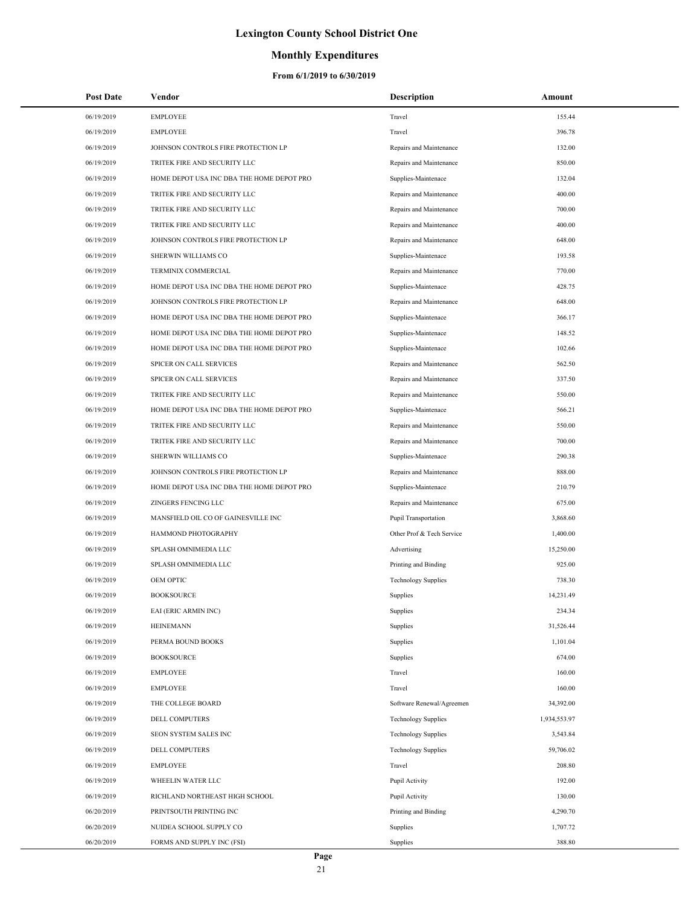### **Monthly Expenditures**

| <b>Post Date</b> | Vendor                                    | <b>Description</b>          | Amount       |
|------------------|-------------------------------------------|-----------------------------|--------------|
| 06/19/2019       | <b>EMPLOYEE</b>                           | Travel                      | 155.44       |
| 06/19/2019       | <b>EMPLOYEE</b>                           | Travel                      | 396.78       |
| 06/19/2019       | JOHNSON CONTROLS FIRE PROTECTION LP       | Repairs and Maintenance     | 132.00       |
| 06/19/2019       | TRITEK FIRE AND SECURITY LLC              | Repairs and Maintenance     | 850.00       |
| 06/19/2019       | HOME DEPOT USA INC DBA THE HOME DEPOT PRO | Supplies-Maintenace         | 132.04       |
| 06/19/2019       | TRITEK FIRE AND SECURITY LLC              | Repairs and Maintenance     | 400.00       |
| 06/19/2019       | TRITEK FIRE AND SECURITY LLC              | Repairs and Maintenance     | 700.00       |
| 06/19/2019       | TRITEK FIRE AND SECURITY LLC              | Repairs and Maintenance     | 400.00       |
| 06/19/2019       | JOHNSON CONTROLS FIRE PROTECTION LP       | Repairs and Maintenance     | 648.00       |
| 06/19/2019       | SHERWIN WILLIAMS CO                       | Supplies-Maintenace         | 193.58       |
| 06/19/2019       | TERMINIX COMMERCIAL                       | Repairs and Maintenance     | 770.00       |
| 06/19/2019       | HOME DEPOT USA INC DBA THE HOME DEPOT PRO | Supplies-Maintenace         | 428.75       |
| 06/19/2019       | JOHNSON CONTROLS FIRE PROTECTION LP       | Repairs and Maintenance     | 648.00       |
| 06/19/2019       | HOME DEPOT USA INC DBA THE HOME DEPOT PRO | Supplies-Maintenace         | 366.17       |
| 06/19/2019       | HOME DEPOT USA INC DBA THE HOME DEPOT PRO | Supplies-Maintenace         | 148.52       |
| 06/19/2019       | HOME DEPOT USA INC DBA THE HOME DEPOT PRO | Supplies-Maintenace         | 102.66       |
| 06/19/2019       | SPICER ON CALL SERVICES                   | Repairs and Maintenance     | 562.50       |
| 06/19/2019       | SPICER ON CALL SERVICES                   | Repairs and Maintenance     | 337.50       |
| 06/19/2019       | TRITEK FIRE AND SECURITY LLC              | Repairs and Maintenance     | 550.00       |
| 06/19/2019       | HOME DEPOT USA INC DBA THE HOME DEPOT PRO | Supplies-Maintenace         | 566.21       |
| 06/19/2019       | TRITEK FIRE AND SECURITY LLC              | Repairs and Maintenance     | 550.00       |
| 06/19/2019       | TRITEK FIRE AND SECURITY LLC              | Repairs and Maintenance     | 700.00       |
| 06/19/2019       | SHERWIN WILLIAMS CO                       | Supplies-Maintenace         | 290.38       |
| 06/19/2019       | JOHNSON CONTROLS FIRE PROTECTION LP       | Repairs and Maintenance     | 888.00       |
| 06/19/2019       | HOME DEPOT USA INC DBA THE HOME DEPOT PRO | Supplies-Maintenace         | 210.79       |
| 06/19/2019       | <b>ZINGERS FENCING LLC</b>                | Repairs and Maintenance     | 675.00       |
| 06/19/2019       | MANSFIELD OIL CO OF GAINESVILLE INC       | <b>Pupil Transportation</b> | 3,868.60     |
| 06/19/2019       | HAMMOND PHOTOGRAPHY                       | Other Prof & Tech Service   | 1,400.00     |
| 06/19/2019       | SPLASH OMNIMEDIA LLC                      | Advertising                 | 15,250.00    |
| 06/19/2019       | SPLASH OMNIMEDIA LLC                      | Printing and Binding        | 925.00       |
| 06/19/2019       | OEM OPTIC                                 | <b>Technology Supplies</b>  | 738.30       |
| 06/19/2019       | <b>BOOKSOURCE</b>                         | Supplies                    | 14,231.49    |
| 06/19/2019       | EAI (ERIC ARMIN INC)                      | Supplies                    | 234.34       |
| 06/19/2019       | <b>HEINEMANN</b>                          | Supplies                    | 31,526.44    |
| 06/19/2019       | PERMA BOUND BOOKS                         | Supplies                    | 1,101.04     |
| 06/19/2019       | <b>BOOKSOURCE</b>                         | Supplies                    | 674.00       |
| 06/19/2019       | <b>EMPLOYEE</b>                           | Travel                      | 160.00       |
| 06/19/2019       | <b>EMPLOYEE</b>                           | Travel                      | 160.00       |
| 06/19/2019       | THE COLLEGE BOARD                         | Software Renewal/Agreemen   | 34,392.00    |
| 06/19/2019       | DELL COMPUTERS                            | <b>Technology Supplies</b>  | 1,934,553.97 |
| 06/19/2019       | SEON SYSTEM SALES INC                     | <b>Technology Supplies</b>  | 3,543.84     |
| 06/19/2019       | DELL COMPUTERS                            | <b>Technology Supplies</b>  | 59,706.02    |
| 06/19/2019       | <b>EMPLOYEE</b>                           | Travel                      | 208.80       |
| 06/19/2019       | WHEELIN WATER LLC                         | Pupil Activity              | 192.00       |
| 06/19/2019       | RICHLAND NORTHEAST HIGH SCHOOL            | Pupil Activity              | 130.00       |
| 06/20/2019       | PRINTSOUTH PRINTING INC                   | Printing and Binding        | 4,290.70     |
| 06/20/2019       | NUIDEA SCHOOL SUPPLY CO                   | Supplies                    | 1,707.72     |
| 06/20/2019       | FORMS AND SUPPLY INC (FSI)                | Supplies                    | 388.80       |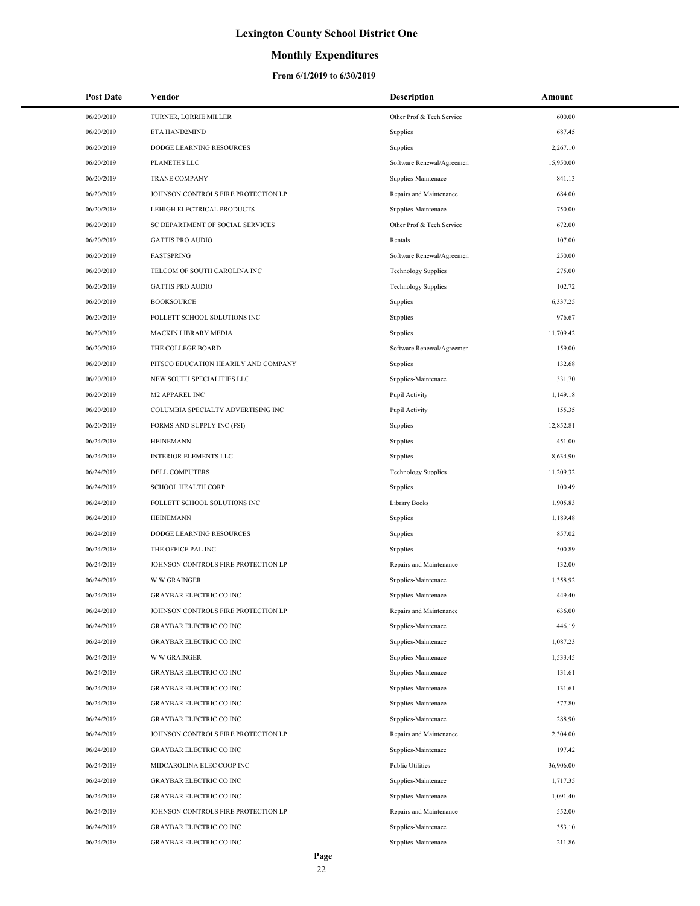### **Monthly Expenditures**

| <b>Post Date</b> | Vendor                               | <b>Description</b>         | Amount    |
|------------------|--------------------------------------|----------------------------|-----------|
| 06/20/2019       | TURNER, LORRIE MILLER                | Other Prof & Tech Service  | 600.00    |
| 06/20/2019       | ETA HAND2MIND                        | Supplies                   | 687.45    |
| 06/20/2019       | DODGE LEARNING RESOURCES             | Supplies                   | 2,267.10  |
| 06/20/2019       | PLANETHS LLC                         | Software Renewal/Agreemen  | 15,950.00 |
| 06/20/2019       | <b>TRANE COMPANY</b>                 | Supplies-Maintenace        | 841.13    |
| 06/20/2019       | JOHNSON CONTROLS FIRE PROTECTION LP  | Repairs and Maintenance    | 684.00    |
| 06/20/2019       | LEHIGH ELECTRICAL PRODUCTS           | Supplies-Maintenace        | 750.00    |
| 06/20/2019       | SC DEPARTMENT OF SOCIAL SERVICES     | Other Prof & Tech Service  | 672.00    |
| 06/20/2019       | <b>GATTIS PRO AUDIO</b>              | Rentals                    | 107.00    |
| 06/20/2019       | <b>FASTSPRING</b>                    | Software Renewal/Agreemen  | 250.00    |
| 06/20/2019       | TELCOM OF SOUTH CAROLINA INC         | <b>Technology Supplies</b> | 275.00    |
| 06/20/2019       | <b>GATTIS PRO AUDIO</b>              | <b>Technology Supplies</b> | 102.72    |
| 06/20/2019       | <b>BOOKSOURCE</b>                    | Supplies                   | 6,337.25  |
| 06/20/2019       | FOLLETT SCHOOL SOLUTIONS INC         | Supplies                   | 976.67    |
| 06/20/2019       | MACKIN LIBRARY MEDIA                 | Supplies                   | 11,709.42 |
| 06/20/2019       | THE COLLEGE BOARD                    | Software Renewal/Agreemen  | 159.00    |
| 06/20/2019       | PITSCO EDUCATION HEARILY AND COMPANY | Supplies                   | 132.68    |
| 06/20/2019       | NEW SOUTH SPECIALITIES LLC           | Supplies-Maintenace        | 331.70    |
| 06/20/2019       | M2 APPAREL INC                       | Pupil Activity             | 1,149.18  |
| 06/20/2019       | COLUMBIA SPECIALTY ADVERTISING INC   | Pupil Activity             | 155.35    |
| 06/20/2019       | FORMS AND SUPPLY INC (FSI)           | Supplies                   | 12,852.81 |
| 06/24/2019       | <b>HEINEMANN</b>                     | Supplies                   | 451.00    |
| 06/24/2019       | <b>INTERIOR ELEMENTS LLC</b>         | Supplies                   | 8,634.90  |
| 06/24/2019       | DELL COMPUTERS                       | <b>Technology Supplies</b> | 11,209.32 |
| 06/24/2019       | <b>SCHOOL HEALTH CORP</b>            | Supplies                   | 100.49    |
| 06/24/2019       | FOLLETT SCHOOL SOLUTIONS INC         | <b>Library Books</b>       | 1,905.83  |
| 06/24/2019       | <b>HEINEMANN</b>                     | Supplies                   | 1,189.48  |
| 06/24/2019       | DODGE LEARNING RESOURCES             | Supplies                   | 857.02    |
| 06/24/2019       | THE OFFICE PAL INC                   | Supplies                   | 500.89    |
| 06/24/2019       | JOHNSON CONTROLS FIRE PROTECTION LP  | Repairs and Maintenance    | 132.00    |
| 06/24/2019       | <b>W W GRAINGER</b>                  | Supplies-Maintenace        | 1,358.92  |
| 06/24/2019       | <b>GRAYBAR ELECTRIC CO INC</b>       | Supplies-Maintenace        | 449.40    |
| 06/24/2019       | JOHNSON CONTROLS FIRE PROTECTION LP  | Repairs and Maintenance    | 636.00    |
| 06/24/2019       | <b>GRAYBAR ELECTRIC CO INC</b>       | Supplies-Maintenace        | 446.19    |
| 06/24/2019       | <b>GRAYBAR ELECTRIC CO INC</b>       | Supplies-Maintenace        | 1,087.23  |
| 06/24/2019       | <b>W W GRAINGER</b>                  | Supplies-Maintenace        | 1,533.45  |
| 06/24/2019       | <b>GRAYBAR ELECTRIC CO INC</b>       | Supplies-Maintenace        | 131.61    |
| 06/24/2019       | <b>GRAYBAR ELECTRIC CO INC</b>       | Supplies-Maintenace        | 131.61    |
| 06/24/2019       | <b>GRAYBAR ELECTRIC CO INC</b>       | Supplies-Maintenace        | 577.80    |
| 06/24/2019       | <b>GRAYBAR ELECTRIC CO INC</b>       | Supplies-Maintenace        | 288.90    |
| 06/24/2019       | JOHNSON CONTROLS FIRE PROTECTION LP  | Repairs and Maintenance    | 2,304.00  |
| 06/24/2019       | <b>GRAYBAR ELECTRIC CO INC</b>       | Supplies-Maintenace        | 197.42    |
| 06/24/2019       | MIDCAROLINA ELEC COOP INC            | <b>Public Utilities</b>    | 36,906.00 |
| 06/24/2019       | <b>GRAYBAR ELECTRIC CO INC</b>       | Supplies-Maintenace        | 1,717.35  |
| 06/24/2019       | <b>GRAYBAR ELECTRIC CO INC</b>       | Supplies-Maintenace        | 1,091.40  |
| 06/24/2019       | JOHNSON CONTROLS FIRE PROTECTION LP  | Repairs and Maintenance    | 552.00    |
| 06/24/2019       | <b>GRAYBAR ELECTRIC CO INC</b>       | Supplies-Maintenace        | 353.10    |
| 06/24/2019       | <b>GRAYBAR ELECTRIC CO INC</b>       | Supplies-Maintenace        | 211.86    |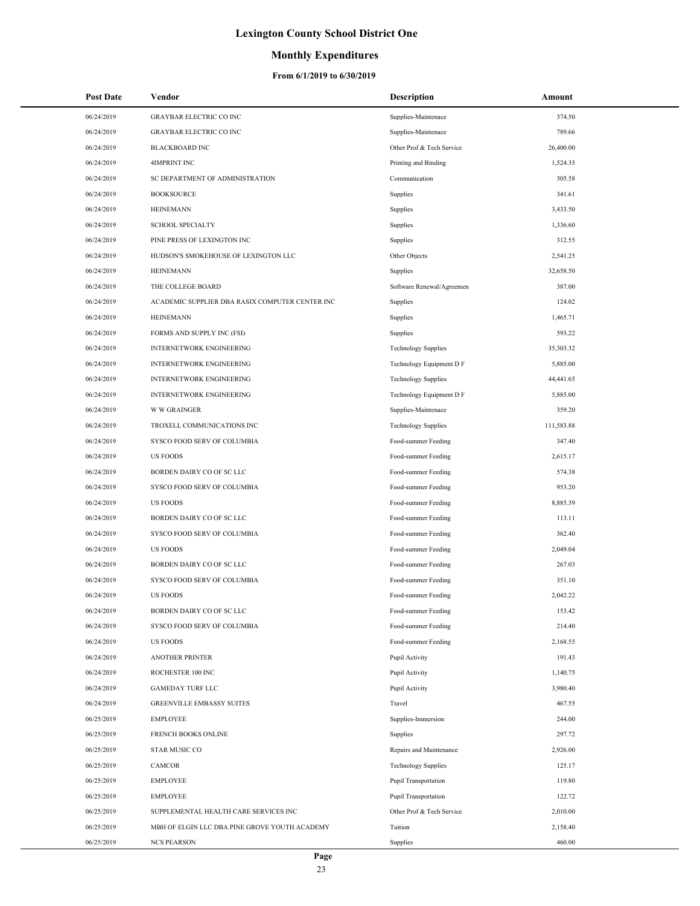### **Monthly Expenditures**

| <b>Post Date</b> | Vendor                                          | <b>Description</b>         | Amount     |
|------------------|-------------------------------------------------|----------------------------|------------|
| 06/24/2019       | <b>GRAYBAR ELECTRIC CO INC</b>                  | Supplies-Maintenace        | 374.50     |
| 06/24/2019       | <b>GRAYBAR ELECTRIC CO INC</b>                  | Supplies-Maintenace        | 789.66     |
| 06/24/2019       | <b>BLACKBOARD INC</b>                           | Other Prof & Tech Service  | 26,400.00  |
| 06/24/2019       | <b>4IMPRINT INC</b>                             | Printing and Binding       | 1,524.35   |
| 06/24/2019       | SC DEPARTMENT OF ADMINISTRATION                 | Communication              | 305.58     |
| 06/24/2019       | <b>BOOKSOURCE</b>                               | Supplies                   | 341.61     |
| 06/24/2019       | <b>HEINEMANN</b>                                | Supplies                   | 3,433.50   |
| 06/24/2019       | <b>SCHOOL SPECIALTY</b>                         | Supplies                   | 1,336.60   |
| 06/24/2019       | PINE PRESS OF LEXINGTON INC                     | Supplies                   | 312.55     |
| 06/24/2019       | HUDSON'S SMOKEHOUSE OF LEXINGTON LLC            | Other Objects              | 2,541.25   |
| 06/24/2019       | <b>HEINEMANN</b>                                | Supplies                   | 32,658.50  |
| 06/24/2019       | THE COLLEGE BOARD                               | Software Renewal/Agreemen  | 387.00     |
| 06/24/2019       | ACADEMIC SUPPLIER DBA RASIX COMPUTER CENTER INC | Supplies                   | 124.02     |
| 06/24/2019       | <b>HEINEMANN</b>                                | Supplies                   | 1,465.71   |
| 06/24/2019       | FORMS AND SUPPLY INC (FSI)                      | Supplies                   | 593.22     |
| 06/24/2019       | <b>INTERNETWORK ENGINEERING</b>                 | <b>Technology Supplies</b> | 35,303.32  |
| 06/24/2019       | INTERNETWORK ENGINEERING                        | Technology Equipment D F   | 5,885.00   |
| 06/24/2019       | <b>INTERNETWORK ENGINEERING</b>                 | <b>Technology Supplies</b> | 44,441.65  |
| 06/24/2019       | <b>INTERNETWORK ENGINEERING</b>                 | Technology Equipment D F   | 5,885.00   |
| 06/24/2019       | <b>W W GRAINGER</b>                             | Supplies-Maintenace        | 359.20     |
| 06/24/2019       | TROXELL COMMUNICATIONS INC                      | <b>Technology Supplies</b> | 111,583.88 |
| 06/24/2019       | SYSCO FOOD SERV OF COLUMBIA                     | Food-summer Feeding        | 347.40     |
| 06/24/2019       | <b>US FOODS</b>                                 | Food-summer Feeding        | 2,615.17   |
| 06/24/2019       | BORDEN DAIRY CO OF SC LLC                       | Food-summer Feeding        | 574.38     |
| 06/24/2019       | SYSCO FOOD SERV OF COLUMBIA                     | Food-summer Feeding        | 953.20     |
| 06/24/2019       | <b>US FOODS</b>                                 | Food-summer Feeding        | 8,885.39   |
| 06/24/2019       | BORDEN DAIRY CO OF SC LLC                       | Food-summer Feeding        | 113.11     |
| 06/24/2019       | SYSCO FOOD SERV OF COLUMBIA                     | Food-summer Feeding        | 362.40     |
| 06/24/2019       | <b>US FOODS</b>                                 | Food-summer Feeding        | 2,049.04   |
| 06/24/2019       | BORDEN DAIRY CO OF SC LLC                       | Food-summer Feeding        | 267.03     |
| 06/24/2019       | SYSCO FOOD SERV OF COLUMBIA                     | Food-summer Feeding        | 351.10     |
| 06/24/2019       | <b>US FOODS</b>                                 | Food-summer Feeding        | 2,042.22   |
| 06/24/2019       | BORDEN DAIRY CO OF SC LLC                       | Food-summer Feeding        | 153.42     |
| 06/24/2019       | SYSCO FOOD SERV OF COLUMBIA                     | Food-summer Feeding        | 214.40     |
| 06/24/2019       | <b>US FOODS</b>                                 | Food-summer Feeding        | 2,168.55   |
| 06/24/2019       | <b>ANOTHER PRINTER</b>                          | Pupil Activity             | 191.43     |
| 06/24/2019       | ROCHESTER 100 INC                               | Pupil Activity             | 1,140.75   |
| 06/24/2019       | <b>GAMEDAY TURF LLC</b>                         | Pupil Activity             | 3,980.40   |
| 06/24/2019       | <b>GREENVILLE EMBASSY SUITES</b>                | Travel                     | 467.55     |
| 06/25/2019       | <b>EMPLOYEE</b>                                 | Supplies-Immersion         | 244.00     |
| 06/25/2019       | FRENCH BOOKS ONLINE                             | Supplies                   | 297.72     |
| 06/25/2019       | <b>STAR MUSIC CO</b>                            | Repairs and Maintenance    | 2,926.00   |
| 06/25/2019       | CAMCOR                                          | <b>Technology Supplies</b> | 125.17     |
| 06/25/2019       | <b>EMPLOYEE</b>                                 | Pupil Transportation       | 119.80     |
| 06/25/2019       | <b>EMPLOYEE</b>                                 | Pupil Transportation       | 122.72     |
| 06/25/2019       | SUPPLEMENTAL HEALTH CARE SERVICES INC           | Other Prof & Tech Service  | 2,010.00   |
| 06/25/2019       | MBH OF ELGIN LLC DBA PINE GROVE YOUTH ACADEMY   | Tuition                    | 2,158.40   |
| 06/25/2019       | <b>NCS PEARSON</b>                              | Supplies                   | 460.00     |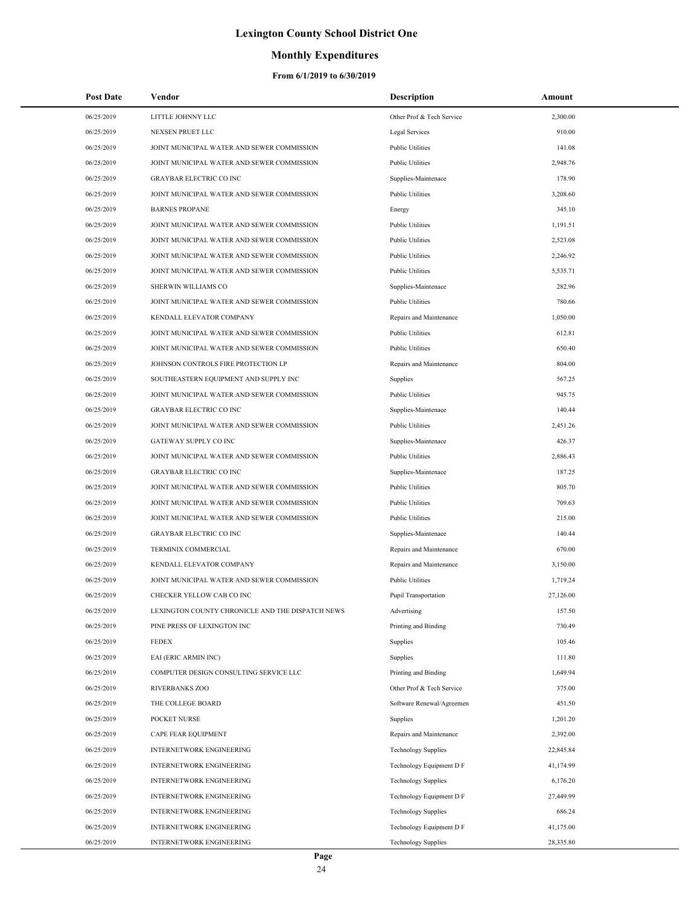## **Monthly Expenditures**

| <b>Post Date</b> | Vendor                                           | <b>Description</b>         | Amount    |
|------------------|--------------------------------------------------|----------------------------|-----------|
| 06/25/2019       | LITTLE JOHNNY LLC                                | Other Prof & Tech Service  | 2,300.00  |
| 06/25/2019       | NEXSEN PRUET LLC                                 | Legal Services             | 910.00    |
| 06/25/2019       | JOINT MUNICIPAL WATER AND SEWER COMMISSION       | <b>Public Utilities</b>    | 141.08    |
| 06/25/2019       | JOINT MUNICIPAL WATER AND SEWER COMMISSION       | <b>Public Utilities</b>    | 2,948.76  |
| 06/25/2019       | <b>GRAYBAR ELECTRIC CO INC</b>                   | Supplies-Maintenace        | 178.90    |
| 06/25/2019       | JOINT MUNICIPAL WATER AND SEWER COMMISSION       | <b>Public Utilities</b>    | 3,208.60  |
| 06/25/2019       | <b>BARNES PROPANE</b>                            | Energy                     | 345.10    |
| 06/25/2019       | JOINT MUNICIPAL WATER AND SEWER COMMISSION       | <b>Public Utilities</b>    | 1,191.51  |
| 06/25/2019       | JOINT MUNICIPAL WATER AND SEWER COMMISSION       | <b>Public Utilities</b>    | 2,523.08  |
| 06/25/2019       | JOINT MUNICIPAL WATER AND SEWER COMMISSION       | <b>Public Utilities</b>    | 2,246.92  |
| 06/25/2019       | JOINT MUNICIPAL WATER AND SEWER COMMISSION       | <b>Public Utilities</b>    | 5,535.71  |
| 06/25/2019       | SHERWIN WILLIAMS CO                              | Supplies-Maintenace        | 282.96    |
| 06/25/2019       | JOINT MUNICIPAL WATER AND SEWER COMMISSION       | <b>Public Utilities</b>    | 780.66    |
| 06/25/2019       | KENDALL ELEVATOR COMPANY                         | Repairs and Maintenance    | 1,050.00  |
| 06/25/2019       | JOINT MUNICIPAL WATER AND SEWER COMMISSION       | <b>Public Utilities</b>    | 612.81    |
| 06/25/2019       | JOINT MUNICIPAL WATER AND SEWER COMMISSION       | <b>Public Utilities</b>    | 650.40    |
| 06/25/2019       | JOHNSON CONTROLS FIRE PROTECTION LP              | Repairs and Maintenance    | 804.00    |
| 06/25/2019       | SOUTHEASTERN EQUIPMENT AND SUPPLY INC            | Supplies                   | 567.25    |
| 06/25/2019       | JOINT MUNICIPAL WATER AND SEWER COMMISSION       | <b>Public Utilities</b>    | 945.75    |
| 06/25/2019       | <b>GRAYBAR ELECTRIC CO INC</b>                   | Supplies-Maintenace        | 140.44    |
| 06/25/2019       | JOINT MUNICIPAL WATER AND SEWER COMMISSION       | <b>Public Utilities</b>    | 2,451.26  |
| 06/25/2019       | GATEWAY SUPPLY CO INC                            | Supplies-Maintenace        | 426.37    |
| 06/25/2019       | JOINT MUNICIPAL WATER AND SEWER COMMISSION       | <b>Public Utilities</b>    | 2,886.43  |
| 06/25/2019       | <b>GRAYBAR ELECTRIC CO INC</b>                   | Supplies-Maintenace        | 187.25    |
| 06/25/2019       | JOINT MUNICIPAL WATER AND SEWER COMMISSION       | <b>Public Utilities</b>    | 805.70    |
| 06/25/2019       | JOINT MUNICIPAL WATER AND SEWER COMMISSION       | <b>Public Utilities</b>    | 709.63    |
| 06/25/2019       | JOINT MUNICIPAL WATER AND SEWER COMMISSION       | <b>Public Utilities</b>    | 215.00    |
| 06/25/2019       | <b>GRAYBAR ELECTRIC CO INC</b>                   | Supplies-Maintenace        | 140.44    |
| 06/25/2019       | TERMINIX COMMERCIAL                              | Repairs and Maintenance    | 670.00    |
| 06/25/2019       | KENDALL ELEVATOR COMPANY                         | Repairs and Maintenance    | 3,150.00  |
| 06/25/2019       | JOINT MUNICIPAL WATER AND SEWER COMMISSION       | <b>Public Utilities</b>    | 1,719.24  |
| 06/25/2019       | CHECKER YELLOW CAB CO INC                        | Pupil Transportation       | 27,126.00 |
| 06/25/2019       | LEXINGTON COUNTY CHRONICLE AND THE DISPATCH NEWS | Advertising                | 157.50    |
| 06/25/2019       | PINE PRESS OF LEXINGTON INC                      | Printing and Binding       | 730.49    |
| 06/25/2019       | <b>FEDEX</b>                                     | Supplies                   | 105.46    |
| 06/25/2019       | EAI (ERIC ARMIN INC)                             | Supplies                   | 111.80    |
| 06/25/2019       | COMPUTER DESIGN CONSULTING SERVICE LLC           | Printing and Binding       | 1,649.94  |
| 06/25/2019       | <b>RIVERBANKS ZOO</b>                            | Other Prof & Tech Service  | 375.00    |
| 06/25/2019       | THE COLLEGE BOARD                                | Software Renewal/Agreemen  | 451.50    |
| 06/25/2019       | POCKET NURSE                                     | Supplies                   | 1,201.20  |
| 06/25/2019       | CAPE FEAR EQUIPMENT                              | Repairs and Maintenance    | 2,392.00  |
| 06/25/2019       | INTERNETWORK ENGINEERING                         | <b>Technology Supplies</b> | 22,845.84 |
| 06/25/2019       | INTERNETWORK ENGINEERING                         | Technology Equipment D F   | 41,174.99 |
| 06/25/2019       | INTERNETWORK ENGINEERING                         | <b>Technology Supplies</b> | 6,176.20  |
| 06/25/2019       | INTERNETWORK ENGINEERING                         | Technology Equipment D F   | 27,449.99 |
| 06/25/2019       | <b>INTERNETWORK ENGINEERING</b>                  | <b>Technology Supplies</b> | 686.24    |
| 06/25/2019       | INTERNETWORK ENGINEERING                         | Technology Equipment D F   | 41,175.00 |
| 06/25/2019       | INTERNETWORK ENGINEERING                         | <b>Technology Supplies</b> | 28,335.80 |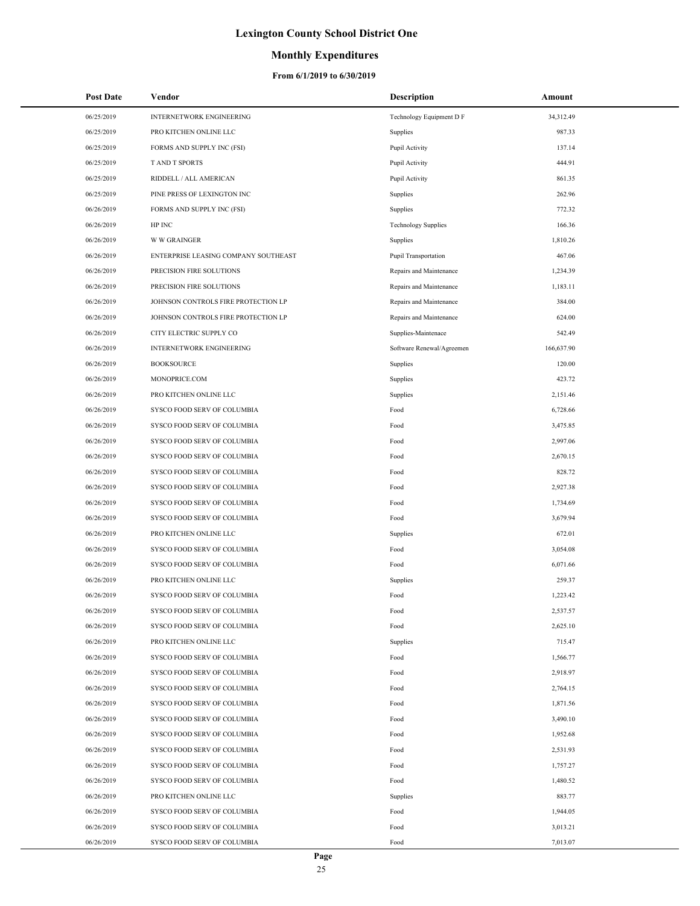### **Monthly Expenditures**

| <b>Post Date</b> | Vendor                               | <b>Description</b>         | Amount     |
|------------------|--------------------------------------|----------------------------|------------|
| 06/25/2019       | <b>INTERNETWORK ENGINEERING</b>      | Technology Equipment D F   | 34,312.49  |
| 06/25/2019       | PRO KITCHEN ONLINE LLC               | Supplies                   | 987.33     |
| 06/25/2019       | FORMS AND SUPPLY INC (FSI)           | Pupil Activity             | 137.14     |
| 06/25/2019       | <b>TAND T SPORTS</b>                 | Pupil Activity             | 444.91     |
| 06/25/2019       | RIDDELL / ALL AMERICAN               | Pupil Activity             | 861.35     |
| 06/25/2019       | PINE PRESS OF LEXINGTON INC          | Supplies                   | 262.96     |
| 06/26/2019       | FORMS AND SUPPLY INC (FSI)           | Supplies                   | 772.32     |
| 06/26/2019       | HP INC                               | <b>Technology Supplies</b> | 166.36     |
| 06/26/2019       | <b>W W GRAINGER</b>                  | Supplies                   | 1,810.26   |
| 06/26/2019       | ENTERPRISE LEASING COMPANY SOUTHEAST | Pupil Transportation       | 467.06     |
| 06/26/2019       | PRECISION FIRE SOLUTIONS             | Repairs and Maintenance    | 1,234.39   |
| 06/26/2019       | PRECISION FIRE SOLUTIONS             | Repairs and Maintenance    | 1,183.11   |
| 06/26/2019       | JOHNSON CONTROLS FIRE PROTECTION LP  | Repairs and Maintenance    | 384.00     |
| 06/26/2019       | JOHNSON CONTROLS FIRE PROTECTION LP  | Repairs and Maintenance    | 624.00     |
| 06/26/2019       | CITY ELECTRIC SUPPLY CO              | Supplies-Maintenace        | 542.49     |
| 06/26/2019       | INTERNETWORK ENGINEERING             | Software Renewal/Agreemen  | 166,637.90 |
| 06/26/2019       | <b>BOOKSOURCE</b>                    | Supplies                   | 120.00     |
| 06/26/2019       | MONOPRICE.COM                        | Supplies                   | 423.72     |
| 06/26/2019       | PRO KITCHEN ONLINE LLC               | Supplies                   | 2,151.46   |
| 06/26/2019       | SYSCO FOOD SERV OF COLUMBIA          | Food                       | 6,728.66   |
| 06/26/2019       | SYSCO FOOD SERV OF COLUMBIA          | Food                       | 3,475.85   |
| 06/26/2019       | SYSCO FOOD SERV OF COLUMBIA          | Food                       | 2,997.06   |
| 06/26/2019       | SYSCO FOOD SERV OF COLUMBIA          | Food                       | 2,670.15   |
| 06/26/2019       | SYSCO FOOD SERV OF COLUMBIA          | Food                       | 828.72     |
| 06/26/2019       | SYSCO FOOD SERV OF COLUMBIA          | Food                       | 2,927.38   |
| 06/26/2019       | SYSCO FOOD SERV OF COLUMBIA          | Food                       | 1,734.69   |
| 06/26/2019       | SYSCO FOOD SERV OF COLUMBIA          | Food                       | 3,679.94   |
| 06/26/2019       | PRO KITCHEN ONLINE LLC               | Supplies                   | 672.01     |
| 06/26/2019       | SYSCO FOOD SERV OF COLUMBIA          | Food                       | 3,054.08   |
| 06/26/2019       | SYSCO FOOD SERV OF COLUMBIA          | Food                       | 6,071.66   |
| 06/26/2019       | PRO KITCHEN ONLINE LLC               | Supplies                   | 259.37     |
| 06/26/2019       | <b>SYSCO FOOD SERV OF COLUMBIA</b>   | Food                       | 1,223.42   |
| 06/26/2019       | SYSCO FOOD SERV OF COLUMBIA          | Food                       | 2,537.57   |
| 06/26/2019       | SYSCO FOOD SERV OF COLUMBIA          | Food                       | 2,625.10   |
| 06/26/2019       | PRO KITCHEN ONLINE LLC               | Supplies                   | 715.47     |
| 06/26/2019       | SYSCO FOOD SERV OF COLUMBIA          | Food                       | 1,566.77   |
| 06/26/2019       | SYSCO FOOD SERV OF COLUMBIA          | Food                       | 2,918.97   |
| 06/26/2019       | SYSCO FOOD SERV OF COLUMBIA          | Food                       | 2,764.15   |
| 06/26/2019       | SYSCO FOOD SERV OF COLUMBIA          | Food                       | 1,871.56   |
| 06/26/2019       | SYSCO FOOD SERV OF COLUMBIA          | Food                       | 3,490.10   |
| 06/26/2019       | SYSCO FOOD SERV OF COLUMBIA          | Food                       | 1,952.68   |
| 06/26/2019       | SYSCO FOOD SERV OF COLUMBIA          | Food                       | 2,531.93   |
| 06/26/2019       | SYSCO FOOD SERV OF COLUMBIA          | Food                       | 1,757.27   |
| 06/26/2019       | SYSCO FOOD SERV OF COLUMBIA          | Food                       | 1,480.52   |
| 06/26/2019       | PRO KITCHEN ONLINE LLC               | Supplies                   | 883.77     |
| 06/26/2019       | SYSCO FOOD SERV OF COLUMBIA          | Food                       | 1,944.05   |
| 06/26/2019       | SYSCO FOOD SERV OF COLUMBIA          | Food                       | 3,013.21   |
| 06/26/2019       | SYSCO FOOD SERV OF COLUMBIA          | Food                       | 7,013.07   |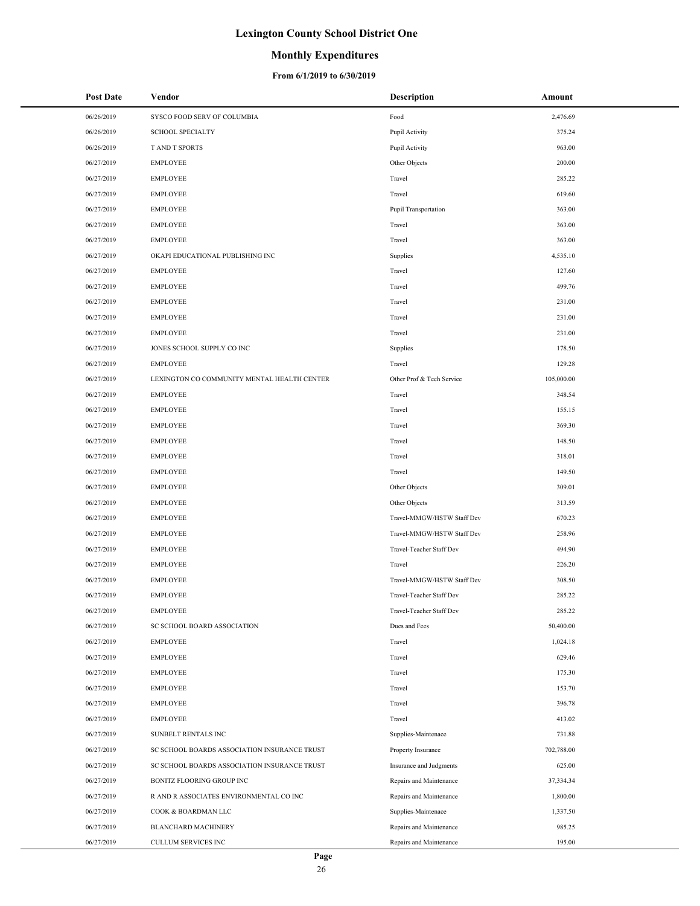### **Monthly Expenditures**

| <b>Post Date</b> | Vendor                                       | <b>Description</b>         | Amount     |
|------------------|----------------------------------------------|----------------------------|------------|
| 06/26/2019       | SYSCO FOOD SERV OF COLUMBIA                  | Food                       | 2,476.69   |
| 06/26/2019       | <b>SCHOOL SPECIALTY</b>                      | Pupil Activity             | 375.24     |
| 06/26/2019       | T AND T SPORTS                               | Pupil Activity             | 963.00     |
| 06/27/2019       | <b>EMPLOYEE</b>                              | Other Objects              | 200.00     |
| 06/27/2019       | <b>EMPLOYEE</b>                              | Travel                     | 285.22     |
| 06/27/2019       | <b>EMPLOYEE</b>                              | Travel                     | 619.60     |
| 06/27/2019       | <b>EMPLOYEE</b>                              | Pupil Transportation       | 363.00     |
| 06/27/2019       | <b>EMPLOYEE</b>                              | Travel                     | 363.00     |
| 06/27/2019       | <b>EMPLOYEE</b>                              | Travel                     | 363.00     |
| 06/27/2019       | OKAPI EDUCATIONAL PUBLISHING INC             | Supplies                   | 4,535.10   |
| 06/27/2019       | <b>EMPLOYEE</b>                              | Travel                     | 127.60     |
| 06/27/2019       | <b>EMPLOYEE</b>                              | Travel                     | 499.76     |
| 06/27/2019       | <b>EMPLOYEE</b>                              | Travel                     | 231.00     |
| 06/27/2019       | <b>EMPLOYEE</b>                              | Travel                     | 231.00     |
| 06/27/2019       | <b>EMPLOYEE</b>                              | Travel                     | 231.00     |
| 06/27/2019       | JONES SCHOOL SUPPLY CO INC                   | Supplies                   | 178.50     |
| 06/27/2019       | <b>EMPLOYEE</b>                              | Travel                     | 129.28     |
| 06/27/2019       | LEXINGTON CO COMMUNITY MENTAL HEALTH CENTER  | Other Prof & Tech Service  | 105,000.00 |
| 06/27/2019       | <b>EMPLOYEE</b>                              | Travel                     | 348.54     |
| 06/27/2019       | <b>EMPLOYEE</b>                              | Travel                     | 155.15     |
| 06/27/2019       | <b>EMPLOYEE</b>                              | Travel                     | 369.30     |
| 06/27/2019       | <b>EMPLOYEE</b>                              | Travel                     | 148.50     |
| 06/27/2019       | <b>EMPLOYEE</b>                              | Travel                     | 318.01     |
| 06/27/2019       | <b>EMPLOYEE</b>                              | Travel                     | 149.50     |
| 06/27/2019       | <b>EMPLOYEE</b>                              | Other Objects              | 309.01     |
| 06/27/2019       | <b>EMPLOYEE</b>                              | Other Objects              | 313.59     |
| 06/27/2019       | <b>EMPLOYEE</b>                              | Travel-MMGW/HSTW Staff Dev | 670.23     |
| 06/27/2019       | <b>EMPLOYEE</b>                              | Travel-MMGW/HSTW Staff Dev | 258.96     |
| 06/27/2019       | <b>EMPLOYEE</b>                              | Travel-Teacher Staff Dev   | 494.90     |
| 06/27/2019       | <b>EMPLOYEE</b>                              | Travel                     | 226.20     |
| 06/27/2019       | <b>EMPLOYEE</b>                              | Travel-MMGW/HSTW Staff Dev | 308.50     |
| 06/27/2019       | <b>EMPLOYEE</b>                              | Travel-Teacher Staff Dev   | 285.22     |
| 06/27/2019       | <b>EMPLOYEE</b>                              | Travel-Teacher Staff Dev   | 285.22     |
| 06/27/2019       | SC SCHOOL BOARD ASSOCIATION                  | Dues and Fees              | 50,400.00  |
| 06/27/2019       | <b>EMPLOYEE</b>                              | Travel                     | 1,024.18   |
| 06/27/2019       | <b>EMPLOYEE</b>                              | Travel                     | 629.46     |
| 06/27/2019       | <b>EMPLOYEE</b>                              | Travel                     | 175.30     |
| 06/27/2019       | <b>EMPLOYEE</b>                              | Travel                     | 153.70     |
| 06/27/2019       | <b>EMPLOYEE</b>                              | Travel                     | 396.78     |
| 06/27/2019       | <b>EMPLOYEE</b>                              | Travel                     | 413.02     |
| 06/27/2019       | SUNBELT RENTALS INC                          | Supplies-Maintenace        | 731.88     |
| 06/27/2019       | SC SCHOOL BOARDS ASSOCIATION INSURANCE TRUST | Property Insurance         | 702,788.00 |
| 06/27/2019       | SC SCHOOL BOARDS ASSOCIATION INSURANCE TRUST | Insurance and Judgments    | 625.00     |
| 06/27/2019       | BONITZ FLOORING GROUP INC                    | Repairs and Maintenance    | 37,334.34  |
| 06/27/2019       | R AND R ASSOCIATES ENVIRONMENTAL CO INC      | Repairs and Maintenance    | 1,800.00   |
| 06/27/2019       | COOK & BOARDMAN LLC                          | Supplies-Maintenace        | 1,337.50   |
| 06/27/2019       | <b>BLANCHARD MACHINERY</b>                   | Repairs and Maintenance    | 985.25     |
| 06/27/2019       | CULLUM SERVICES INC                          | Repairs and Maintenance    | 195.00     |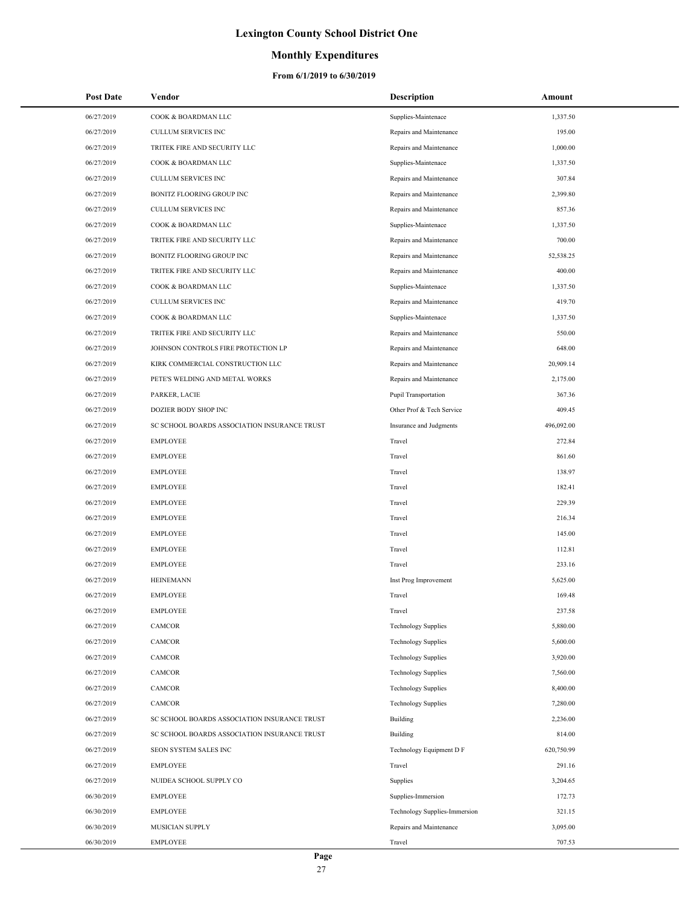## **Monthly Expenditures**

| Post Date  | Vendor                                       | <b>Description</b>            | Amount     |
|------------|----------------------------------------------|-------------------------------|------------|
| 06/27/2019 | COOK & BOARDMAN LLC                          | Supplies-Maintenace           | 1,337.50   |
| 06/27/2019 | CULLUM SERVICES INC                          | Repairs and Maintenance       | 195.00     |
| 06/27/2019 | TRITEK FIRE AND SECURITY LLC                 | Repairs and Maintenance       | 1,000.00   |
| 06/27/2019 | COOK & BOARDMAN LLC                          | Supplies-Maintenace           | 1,337.50   |
| 06/27/2019 | CULLUM SERVICES INC                          | Repairs and Maintenance       | 307.84     |
| 06/27/2019 | BONITZ FLOORING GROUP INC                    | Repairs and Maintenance       | 2,399.80   |
| 06/27/2019 | CULLUM SERVICES INC                          | Repairs and Maintenance       | 857.36     |
| 06/27/2019 | COOK & BOARDMAN LLC                          | Supplies-Maintenace           | 1,337.50   |
| 06/27/2019 | TRITEK FIRE AND SECURITY LLC                 | Repairs and Maintenance       | 700.00     |
| 06/27/2019 | BONITZ FLOORING GROUP INC                    | Repairs and Maintenance       | 52,538.25  |
| 06/27/2019 | TRITEK FIRE AND SECURITY LLC                 | Repairs and Maintenance       | 400.00     |
| 06/27/2019 | COOK & BOARDMAN LLC                          | Supplies-Maintenace           | 1,337.50   |
| 06/27/2019 | CULLUM SERVICES INC                          | Repairs and Maintenance       | 419.70     |
| 06/27/2019 | COOK & BOARDMAN LLC                          | Supplies-Maintenace           | 1,337.50   |
| 06/27/2019 | TRITEK FIRE AND SECURITY LLC                 | Repairs and Maintenance       | 550.00     |
| 06/27/2019 | JOHNSON CONTROLS FIRE PROTECTION LP          | Repairs and Maintenance       | 648.00     |
| 06/27/2019 | KIRK COMMERCIAL CONSTRUCTION LLC             | Repairs and Maintenance       | 20,909.14  |
| 06/27/2019 | PETE'S WELDING AND METAL WORKS               | Repairs and Maintenance       | 2,175.00   |
| 06/27/2019 | PARKER, LACIE                                | <b>Pupil Transportation</b>   | 367.36     |
| 06/27/2019 | DOZIER BODY SHOP INC                         | Other Prof & Tech Service     | 409.45     |
| 06/27/2019 | SC SCHOOL BOARDS ASSOCIATION INSURANCE TRUST | Insurance and Judgments       | 496,092.00 |
| 06/27/2019 | <b>EMPLOYEE</b>                              | Travel                        | 272.84     |
| 06/27/2019 | <b>EMPLOYEE</b>                              | Travel                        | 861.60     |
| 06/27/2019 | <b>EMPLOYEE</b>                              | Travel                        | 138.97     |
| 06/27/2019 | <b>EMPLOYEE</b>                              | Travel                        | 182.41     |
| 06/27/2019 | <b>EMPLOYEE</b>                              | Travel                        | 229.39     |
| 06/27/2019 | <b>EMPLOYEE</b>                              | Travel                        | 216.34     |
| 06/27/2019 | <b>EMPLOYEE</b>                              | Travel                        | 145.00     |
| 06/27/2019 | <b>EMPLOYEE</b>                              | Travel                        | 112.81     |
| 06/27/2019 | <b>EMPLOYEE</b>                              | Travel                        | 233.16     |
| 06/27/2019 | <b>HEINEMANN</b>                             | Inst Prog Improvement         | 5,625.00   |
| 06/27/2019 | <b>EMPLOYEE</b>                              | Travel                        | 169.48     |
| 06/27/2019 | <b>EMPLOYEE</b>                              | Travel                        | 237.58     |
| 06/27/2019 | CAMCOR                                       | <b>Technology Supplies</b>    | 5,880.00   |
| 06/27/2019 | CAMCOR                                       | <b>Technology Supplies</b>    | 5,600.00   |
| 06/27/2019 | CAMCOR                                       | <b>Technology Supplies</b>    | 3,920.00   |
| 06/27/2019 | CAMCOR                                       | <b>Technology Supplies</b>    | 7,560.00   |
| 06/27/2019 | CAMCOR                                       | <b>Technology Supplies</b>    | 8,400.00   |
| 06/27/2019 | CAMCOR                                       | <b>Technology Supplies</b>    | 7,280.00   |
| 06/27/2019 | SC SCHOOL BOARDS ASSOCIATION INSURANCE TRUST | <b>Building</b>               | 2,236.00   |
| 06/27/2019 | SC SCHOOL BOARDS ASSOCIATION INSURANCE TRUST | <b>Building</b>               | 814.00     |
| 06/27/2019 | SEON SYSTEM SALES INC                        | Technology Equipment D F      | 620,750.99 |
| 06/27/2019 | <b>EMPLOYEE</b>                              | Travel                        | 291.16     |
| 06/27/2019 | NUIDEA SCHOOL SUPPLY CO                      | Supplies                      | 3,204.65   |
| 06/30/2019 | <b>EMPLOYEE</b>                              | Supplies-Immersion            | 172.73     |
| 06/30/2019 | <b>EMPLOYEE</b>                              | Technology Supplies-Immersion | 321.15     |
| 06/30/2019 | MUSICIAN SUPPLY                              | Repairs and Maintenance       | 3,095.00   |
| 06/30/2019 | <b>EMPLOYEE</b>                              | Travel                        | 707.53     |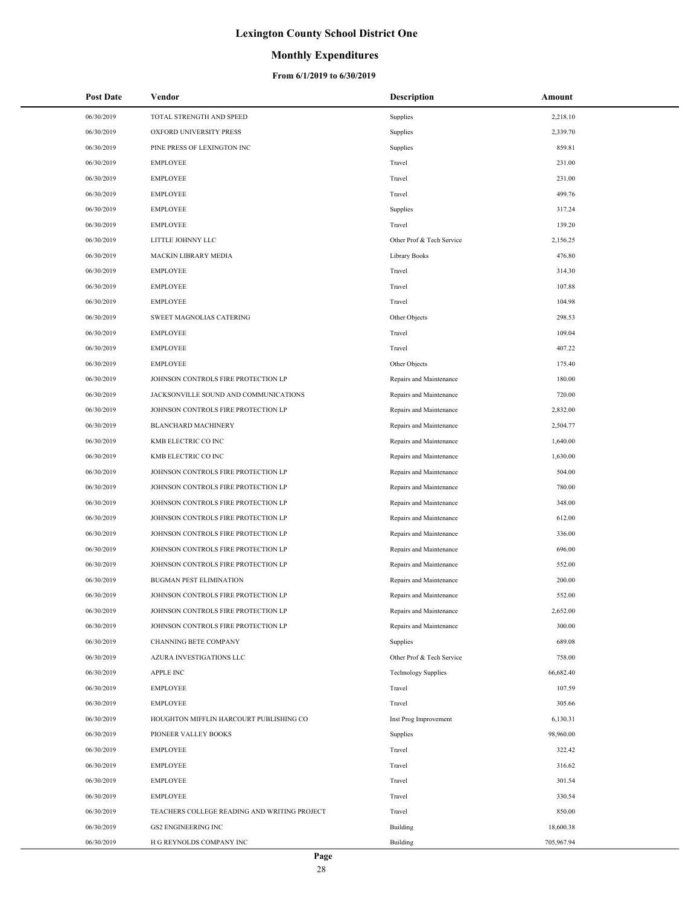### **Monthly Expenditures**

| <b>Post Date</b> | Vendor                                       | <b>Description</b>         | Amount     |
|------------------|----------------------------------------------|----------------------------|------------|
| 06/30/2019       | TOTAL STRENGTH AND SPEED                     | Supplies                   | 2,218.10   |
| 06/30/2019       | OXFORD UNIVERSITY PRESS                      | Supplies                   | 2,339.70   |
| 06/30/2019       | PINE PRESS OF LEXINGTON INC                  | Supplies                   | 859.81     |
| 06/30/2019       | <b>EMPLOYEE</b>                              | Travel                     | 231.00     |
| 06/30/2019       | <b>EMPLOYEE</b>                              | Travel                     | 231.00     |
| 06/30/2019       | <b>EMPLOYEE</b>                              | Travel                     | 499.76     |
| 06/30/2019       | <b>EMPLOYEE</b>                              | Supplies                   | 317.24     |
| 06/30/2019       | <b>EMPLOYEE</b>                              | Travel                     | 139.20     |
| 06/30/2019       | LITTLE JOHNNY LLC                            | Other Prof & Tech Service  | 2,156.25   |
| 06/30/2019       | MACKIN LIBRARY MEDIA                         | <b>Library Books</b>       | 476.80     |
| 06/30/2019       | <b>EMPLOYEE</b>                              | Travel                     | 314.30     |
| 06/30/2019       | <b>EMPLOYEE</b>                              | Travel                     | 107.88     |
| 06/30/2019       | <b>EMPLOYEE</b>                              | Travel                     | 104.98     |
| 06/30/2019       | SWEET MAGNOLIAS CATERING                     | Other Objects              | 298.53     |
| 06/30/2019       | <b>EMPLOYEE</b>                              | Travel                     | 109.04     |
| 06/30/2019       | <b>EMPLOYEE</b>                              | Travel                     | 407.22     |
| 06/30/2019       | <b>EMPLOYEE</b>                              | Other Objects              | 175.40     |
| 06/30/2019       | JOHNSON CONTROLS FIRE PROTECTION LP          | Repairs and Maintenance    | 180.00     |
| 06/30/2019       | JACKSONVILLE SOUND AND COMMUNICATIONS        | Repairs and Maintenance    | 720.00     |
| 06/30/2019       | JOHNSON CONTROLS FIRE PROTECTION LP          | Repairs and Maintenance    | 2,832.00   |
| 06/30/2019       | <b>BLANCHARD MACHINERY</b>                   | Repairs and Maintenance    | 2,504.77   |
| 06/30/2019       | KMB ELECTRIC CO INC                          | Repairs and Maintenance    | 1,640.00   |
| 06/30/2019       | KMB ELECTRIC CO INC                          | Repairs and Maintenance    | 1,630.00   |
| 06/30/2019       | JOHNSON CONTROLS FIRE PROTECTION LP          | Repairs and Maintenance    | 504.00     |
| 06/30/2019       | JOHNSON CONTROLS FIRE PROTECTION LP          | Repairs and Maintenance    | 780.00     |
| 06/30/2019       | JOHNSON CONTROLS FIRE PROTECTION LP          | Repairs and Maintenance    | 348.00     |
| 06/30/2019       | JOHNSON CONTROLS FIRE PROTECTION LP          | Repairs and Maintenance    | 612.00     |
| 06/30/2019       | JOHNSON CONTROLS FIRE PROTECTION LP          | Repairs and Maintenance    | 336.00     |
| 06/30/2019       | JOHNSON CONTROLS FIRE PROTECTION LP          | Repairs and Maintenance    | 696.00     |
| 06/30/2019       | JOHNSON CONTROLS FIRE PROTECTION LP          | Repairs and Maintenance    | 552.00     |
| 06/30/2019       | <b>BUGMAN PEST ELIMINATION</b>               | Repairs and Maintenance    | 200.00     |
| 06/30/2019       | JOHNSON CONTROLS FIRE PROTECTION LP          | Repairs and Maintenance    | 552.00     |
| 06/30/2019       | JOHNSON CONTROLS FIRE PROTECTION LP          | Repairs and Maintenance    | 2,652.00   |
| 06/30/2019       | JOHNSON CONTROLS FIRE PROTECTION LP          | Repairs and Maintenance    | 300.00     |
| 06/30/2019       | CHANNING BETE COMPANY                        | Supplies                   | 689.08     |
| 06/30/2019       | AZURA INVESTIGATIONS LLC                     | Other Prof & Tech Service  | 758.00     |
| 06/30/2019       | <b>APPLE INC</b>                             | <b>Technology Supplies</b> | 66,682.40  |
| 06/30/2019       | <b>EMPLOYEE</b>                              | Travel                     | 107.59     |
| 06/30/2019       | <b>EMPLOYEE</b>                              | Travel                     | 305.66     |
| 06/30/2019       | HOUGHTON MIFFLIN HARCOURT PUBLISHING CO      | Inst Prog Improvement      | 6,130.31   |
| 06/30/2019       | PIONEER VALLEY BOOKS                         | Supplies                   | 98,960.00  |
| 06/30/2019       | <b>EMPLOYEE</b>                              | Travel                     | 322.42     |
| 06/30/2019       | <b>EMPLOYEE</b>                              | Travel                     | 316.62     |
| 06/30/2019       | <b>EMPLOYEE</b>                              | Travel                     | 301.54     |
| 06/30/2019       | <b>EMPLOYEE</b>                              | Travel                     | 330.54     |
| 06/30/2019       | TEACHERS COLLEGE READING AND WRITING PROJECT | Travel                     | 850.00     |
| 06/30/2019       | <b>GS2 ENGINEERING INC</b>                   | Building                   | 18,600.38  |
| 06/30/2019       | H G REYNOLDS COMPANY INC                     | Building                   | 705,967.94 |